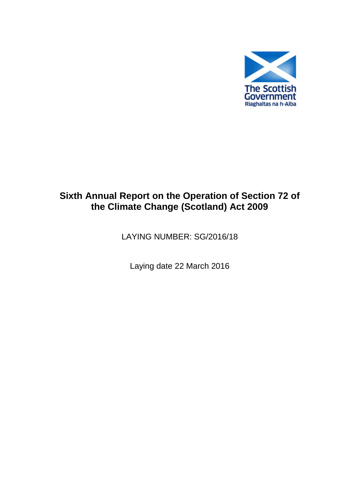

# **Sixth Annual Report on the Operation of Section 72 of the Climate Change (Scotland) Act 2009**

LAYING NUMBER: SG/2016/18

Laying date 22 March 2016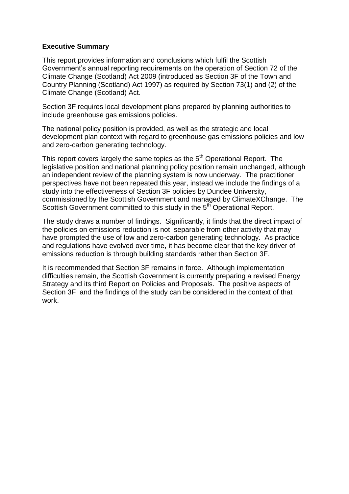#### **Executive Summary**

This report provides information and conclusions which fulfil the Scottish Government's annual reporting requirements on the operation of Section 72 of the Climate Change (Scotland) Act 2009 (introduced as Section 3F of the Town and Country Planning (Scotland) Act 1997) as required by Section 73(1) and (2) of the Climate Change (Scotland) Act.

Section 3F requires local development plans prepared by planning authorities to include greenhouse gas emissions policies.

The national policy position is provided, as well as the strategic and local development plan context with regard to greenhouse gas emissions policies and low and zero-carbon generating technology.

This report covers largely the same topics as the 5<sup>th</sup> Operational Report. The legislative position and national planning policy position remain unchanged, although an independent review of the planning system is now underway. The practitioner perspectives have not been repeated this year, instead we include the findings of a study into the effectiveness of Section 3F policies by Dundee University, commissioned by the Scottish Government and managed by ClimateXChange. The Scottish Government committed to this study in the 5<sup>th</sup> Operational Report.

The study draws a number of findings. Significantly, it finds that the direct impact of the policies on emissions reduction is not separable from other activity that may have prompted the use of low and zero-carbon generating technology. As practice and regulations have evolved over time, it has become clear that the key driver of emissions reduction is through building standards rather than Section 3F.

It is recommended that Section 3F remains in force. Although implementation difficulties remain, the Scottish Government is currently preparing a revised Energy Strategy and its third Report on Policies and Proposals. The positive aspects of Section 3F and the findings of the study can be considered in the context of that work.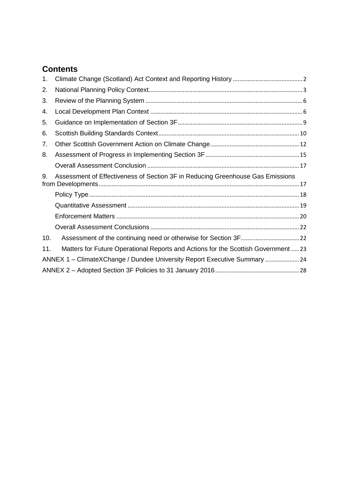# **Contents**

| 1.  |                                                                                    |
|-----|------------------------------------------------------------------------------------|
| 2.  |                                                                                    |
| 3.  |                                                                                    |
| 4.  |                                                                                    |
| 5.  |                                                                                    |
| 6.  |                                                                                    |
| 7.  |                                                                                    |
| 8.  |                                                                                    |
|     |                                                                                    |
| 9.  | Assessment of Effectiveness of Section 3F in Reducing Greenhouse Gas Emissions     |
|     |                                                                                    |
|     |                                                                                    |
|     |                                                                                    |
|     |                                                                                    |
| 10. |                                                                                    |
| 11. | Matters for Future Operational Reports and Actions for the Scottish Government  23 |
|     | ANNEX 1 - ClimateXChange / Dundee University Report Executive Summary  24          |
|     |                                                                                    |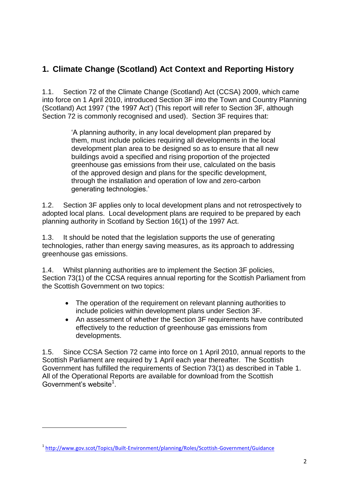# <span id="page-3-0"></span>**1. Climate Change (Scotland) Act Context and Reporting History**

1.1. Section 72 of the Climate Change (Scotland) Act (CCSA) 2009, which came into force on 1 April 2010, introduced Section 3F into the Town and Country Planning (Scotland) Act 1997 ('the 1997 Act') (This report will refer to Section 3F, although Section 72 is commonly recognised and used). Section 3F requires that:

> 'A planning authority, in any local development plan prepared by them, must include policies requiring all developments in the local development plan area to be designed so as to ensure that all new buildings avoid a specified and rising proportion of the projected greenhouse gas emissions from their use, calculated on the basis of the approved design and plans for the specific development, through the installation and operation of low and zero-carbon generating technologies.'

1.2. Section 3F applies only to local development plans and not retrospectively to adopted local plans. Local development plans are required to be prepared by each planning authority in Scotland by Section 16(1) of the 1997 Act.

1.3. It should be noted that the legislation supports the use of generating technologies, rather than energy saving measures, as its approach to addressing greenhouse gas emissions.

1.4. Whilst planning authorities are to implement the Section 3F policies, Section 73(1) of the CCSA requires annual reporting for the Scottish Parliament from the Scottish Government on two topics:

- The operation of the requirement on relevant planning authorities to include policies within development plans under Section 3F.
- An assessment of whether the Section 3F requirements have contributed effectively to the reduction of greenhouse gas emissions from developments.

1.5. Since CCSA Section 72 came into force on 1 April 2010, annual reports to the Scottish Parliament are required by 1 April each year thereafter. The Scottish Government has fulfilled the requirements of Section 73(1) as described in Table 1. All of the Operational Reports are available for download from the Scottish Government's website<sup>1</sup>.

1

<sup>1</sup> <http://www.gov.scot/Topics/Built-Environment/planning/Roles/Scottish-Government/Guidance>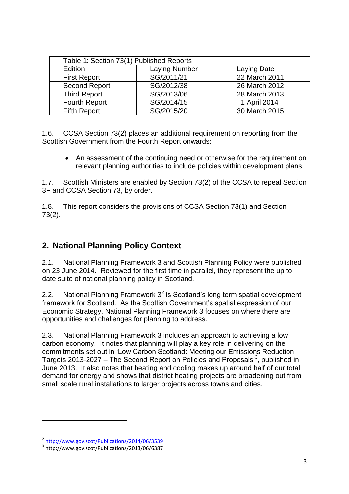| Table 1: Section 73(1) Published Reports |             |               |  |
|------------------------------------------|-------------|---------------|--|
| Edition                                  | Laying Date |               |  |
| <b>First Report</b>                      | SG/2011/21  | 22 March 2011 |  |
| <b>Second Report</b>                     | SG/2012/38  | 26 March 2012 |  |
| <b>Third Report</b>                      | SG/2013/06  | 28 March 2013 |  |
| <b>Fourth Report</b>                     | SG/2014/15  | 1 April 2014  |  |
| <b>Fifth Report</b>                      | SG/2015/20  | 30 March 2015 |  |

1.6. CCSA Section 73(2) places an additional requirement on reporting from the Scottish Government from the Fourth Report onwards:

• An assessment of the continuing need or otherwise for the requirement on relevant planning authorities to include policies within development plans.

1.7. Scottish Ministers are enabled by Section 73(2) of the CCSA to repeal Section 3F and CCSA Section 73, by order.

1.8. This report considers the provisions of CCSA Section 73(1) and Section 73(2).

# <span id="page-4-0"></span>**2. National Planning Policy Context**

2.1. National Planning Framework 3 and Scottish Planning Policy were published on 23 June 2014. Reviewed for the first time in parallel, they represent the up to date suite of national planning policy in Scotland.

2.2. National Planning Framework  $3^2$  is Scotland's long term spatial development framework for Scotland. As the Scottish Government's spatial expression of our Economic Strategy, National Planning Framework 3 focuses on where there are opportunities and challenges for planning to address.

2.3. National Planning Framework 3 includes an approach to achieving a low carbon economy. It notes that planning will play a key role in delivering on the commitments set out in 'Low Carbon Scotland: Meeting our Emissions Reduction Targets 2013-2027 – The Second Report on Policies and Proposals<sup>3</sup>, published in June 2013. It also notes that heating and cooling makes up around half of our total demand for energy and shows that district heating projects are broadening out from small scale rural installations to larger projects across towns and cities.

**.** 

<sup>&</sup>lt;sup>2</sup> <http://www.gov.scot/Publications/2014/06/3539>

<sup>3</sup> http://www.gov.scot/Publications/2013/06/6387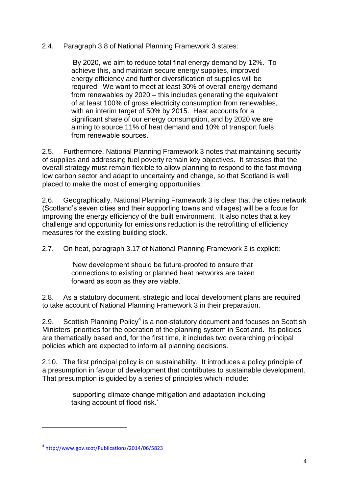### 2.4. Paragraph 3.8 of National Planning Framework 3 states:

'By 2020, we aim to reduce total final energy demand by 12%. To achieve this, and maintain secure energy supplies, improved energy efficiency and further diversification of supplies will be required. We want to meet at least 30% of overall energy demand from renewables by 2020 – this includes generating the equivalent of at least 100% of gross electricity consumption from renewables, with an interim target of 50% by 2015. Heat accounts for a significant share of our energy consumption, and by 2020 we are aiming to source 11% of heat demand and 10% of transport fuels from renewable sources.'

2.5. Furthermore, National Planning Framework 3 notes that maintaining security of supplies and addressing fuel poverty remain key objectives. It stresses that the overall strategy must remain flexible to allow planning to respond to the fast moving low carbon sector and adapt to uncertainty and change, so that Scotland is well placed to make the most of emerging opportunities.

2.6. Geographically, National Planning Framework 3 is clear that the cities network (Scotland's seven cities and their supporting towns and villages) will be a focus for improving the energy efficiency of the built environment. It also notes that a key challenge and opportunity for emissions reduction is the retrofitting of efficiency measures for the existing building stock.

2.7. On heat, paragraph 3.17 of National Planning Framework 3 is explicit:

'New development should be future-proofed to ensure that connections to existing or planned heat networks are taken forward as soon as they are viable.'

2.8. As a statutory document, strategic and local development plans are required to take account of National Planning Framework 3 in their preparation.

2.9. Scottish Planning Policy<sup>4</sup> is a non-statutory document and focuses on Scottish Ministers' priorities for the operation of the planning system in Scotland. Its policies are thematically based and, for the first time, it includes two overarching principal policies which are expected to inform all planning decisions.

2.10. The first principal policy is on sustainability. It introduces a policy principle of a presumption in favour of development that contributes to sustainable development. That presumption is guided by a series of principles which include:

> 'supporting climate change mitigation and adaptation including taking account of flood risk.'

1

<sup>4</sup> <http://www.gov.scot/Publications/2014/06/5823>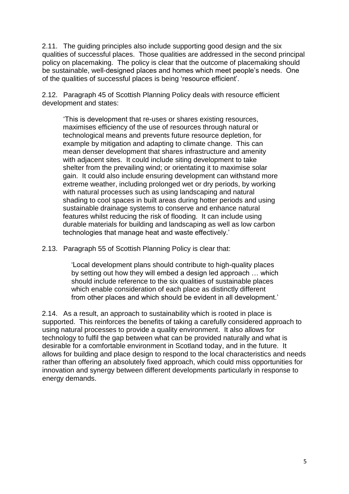2.11. The guiding principles also include supporting good design and the six qualities of successful places. Those qualities are addressed in the second principal policy on placemaking. The policy is clear that the outcome of placemaking should be sustainable, well-designed places and homes which meet people's needs. One of the qualities of successful places is being 'resource efficient'.

2.12. Paragraph 45 of Scottish Planning Policy deals with resource efficient development and states:

'This is development that re-uses or shares existing resources, maximises efficiency of the use of resources through natural or technological means and prevents future resource depletion, for example by mitigation and adapting to climate change. This can mean denser development that shares infrastructure and amenity with adjacent sites. It could include siting development to take shelter from the prevailing wind; or orientating it to maximise solar gain. It could also include ensuring development can withstand more extreme weather, including prolonged wet or dry periods, by working with natural processes such as using landscaping and natural shading to cool spaces in built areas during hotter periods and using sustainable drainage systems to conserve and enhance natural features whilst reducing the risk of flooding. It can include using durable materials for building and landscaping as well as low carbon technologies that manage heat and waste effectively.'

2.13. Paragraph 55 of Scottish Planning Policy is clear that:

'Local development plans should contribute to high-quality places by setting out how they will embed a design led approach … which should include reference to the six qualities of sustainable places which enable consideration of each place as distinctly different from other places and which should be evident in all development.'

2.14. As a result, an approach to sustainability which is rooted in place is supported. This reinforces the benefits of taking a carefully considered approach to using natural processes to provide a quality environment. It also allows for technology to fulfil the gap between what can be provided naturally and what is desirable for a comfortable environment in Scotland today, and in the future. It allows for building and place design to respond to the local characteristics and needs rather than offering an absolutely fixed approach, which could miss opportunities for innovation and synergy between different developments particularly in response to energy demands.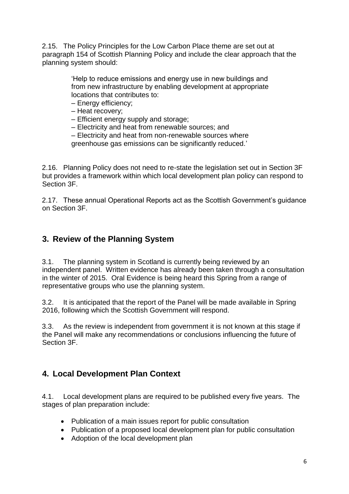2.15. The Policy Principles for the Low Carbon Place theme are set out at paragraph 154 of Scottish Planning Policy and include the clear approach that the planning system should:

> 'Help to reduce emissions and energy use in new buildings and from new infrastructure by enabling development at appropriate locations that contributes to:

- Energy efficiency;
- Heat recovery;
- Efficient energy supply and storage;
- Electricity and heat from renewable sources; and
- Electricity and heat from non-renewable sources where

greenhouse gas emissions can be significantly reduced.'

2.16. Planning Policy does not need to re-state the legislation set out in Section 3F but provides a framework within which local development plan policy can respond to Section 3F.

2.17. These annual Operational Reports act as the Scottish Government's guidance on Section 3F.

# <span id="page-7-0"></span>**3. Review of the Planning System**

3.1. The planning system in Scotland is currently being reviewed by an independent panel. Written evidence has already been taken through a consultation in the winter of 2015. Oral Evidence is being heard this Spring from a range of representative groups who use the planning system.

3.2. It is anticipated that the report of the Panel will be made available in Spring 2016, following which the Scottish Government will respond.

3.3. As the review is independent from government it is not known at this stage if the Panel will make any recommendations or conclusions influencing the future of Section 3F.

# <span id="page-7-1"></span>**4. Local Development Plan Context**

4.1. Local development plans are required to be published every five years. The stages of plan preparation include:

- Publication of a main issues report for public consultation
- Publication of a proposed local development plan for public consultation
- Adoption of the local development plan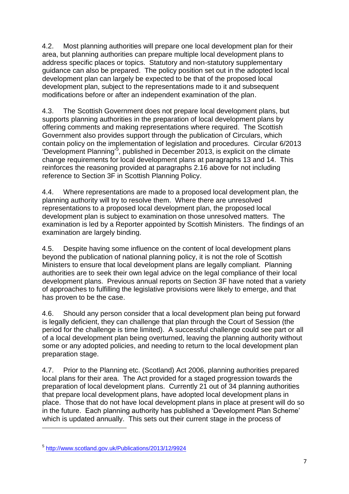4.2. Most planning authorities will prepare one local development plan for their area, but planning authorities can prepare multiple local development plans to address specific places or topics. Statutory and non-statutory supplementary guidance can also be prepared. The policy position set out in the adopted local development plan can largely be expected to be that of the proposed local development plan, subject to the representations made to it and subsequent modifications before or after an independent examination of the plan.

4.3. The Scottish Government does not prepare local development plans, but supports planning authorities in the preparation of local development plans by offering comments and making representations where required. The Scottish Government also provides support through the publication of Circulars, which contain policy on the implementation of legislation and procedures. Circular 6/2013 'Development Planning<sup>35</sup>, published in December 2013, is explicit on the climate change requirements for local development plans at paragraphs 13 and 14. This reinforces the reasoning provided at paragraphs 2.16 above for not including reference to Section 3F in Scottish Planning Policy.

4.4. Where representations are made to a proposed local development plan, the planning authority will try to resolve them. Where there are unresolved representations to a proposed local development plan, the proposed local development plan is subject to examination on those unresolved matters. The examination is led by a Reporter appointed by Scottish Ministers. The findings of an examination are largely binding.

4.5. Despite having some influence on the content of local development plans beyond the publication of national planning policy, it is not the role of Scottish Ministers to ensure that local development plans are legally compliant. Planning authorities are to seek their own legal advice on the legal compliance of their local development plans. Previous annual reports on Section 3F have noted that a variety of approaches to fulfilling the legislative provisions were likely to emerge, and that has proven to be the case.

4.6. Should any person consider that a local development plan being put forward is legally deficient, they can challenge that plan through the Court of Session (the period for the challenge is time limited). A successful challenge could see part or all of a local development plan being overturned, leaving the planning authority without some or any adopted policies, and needing to return to the local development plan preparation stage.

4.7. Prior to the Planning etc. (Scotland) Act 2006, planning authorities prepared local plans for their area. The Act provided for a staged progression towards the preparation of local development plans. Currently 21 out of 34 planning authorities that prepare local development plans, have adopted local development plans in place. Those that do not have local development plans in place at present will do so in the future. Each planning authority has published a 'Development Plan Scheme' which is updated annually. This sets out their current stage in the process of

1

<sup>5</sup> <http://www.scotland.gov.uk/Publications/2013/12/9924>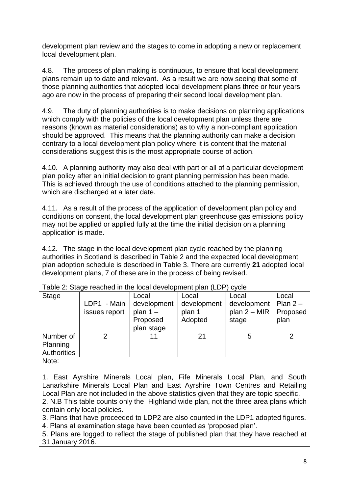development plan review and the stages to come in adopting a new or replacement local development plan.

4.8. The process of plan making is continuous, to ensure that local development plans remain up to date and relevant. As a result we are now seeing that some of those planning authorities that adopted local development plans three or four years ago are now in the process of preparing their second local development plan.

4.9. The duty of planning authorities is to make decisions on planning applications which comply with the policies of the local development plan unless there are reasons (known as material considerations) as to why a non-compliant application should be approved. This means that the planning authority can make a decision contrary to a local development plan policy where it is content that the material considerations suggest this is the most appropriate course of action.

4.10. A planning authority may also deal with part or all of a particular development plan policy after an initial decision to grant planning permission has been made. This is achieved through the use of conditions attached to the planning permission, which are discharged at a later date.

4.11. As a result of the process of the application of development plan policy and conditions on consent, the local development plan greenhouse gas emissions policy may not be applied or applied fully at the time the initial decision on a planning application is made.

4.12. The stage in the local development plan cycle reached by the planning authorities in Scotland is described in Table 2 and the expected local development plan adoption schedule is described in Table 3. There are currently **21** adopted local development plans, 7 of these are in the process of being revised.

| Table 2: Stage reached in the local development plan (LDP) cycle<br><b>Stage</b><br>Local     | Local                            |                                                 |                                        |
|-----------------------------------------------------------------------------------------------|----------------------------------|-------------------------------------------------|----------------------------------------|
| LDP1 - Main<br>development<br>plan $1 -$<br>issues report<br>Proposed<br>plan stage           | development<br>plan 1<br>Adopted | Local<br>development<br>plan $2 - MIR$<br>stage | Local<br>Plan $2-$<br>Proposed<br>plan |
| Number of<br>2<br>11<br>Planning<br>Authorities<br>$\mathbf{N}$ is a function of $\mathbf{N}$ | 21                               | 5                                               | っ                                      |

Note:

1. East Ayrshire Minerals Local plan, Fife Minerals Local Plan, and South Lanarkshire Minerals Local Plan and East Ayrshire Town Centres and Retailing Local Plan are not included in the above statistics given that they are topic specific.

2. N.B This table counts only the Highland wide plan, not the three area plans which contain only local policies.

3. Plans that have proceeded to LDP2 are also counted in the LDP1 adopted figures. 4. Plans at examination stage have been counted as 'proposed plan'.

5. Plans are logged to reflect the stage of published plan that they have reached at 31 January 2016.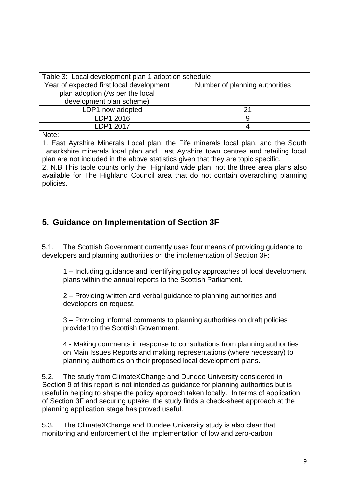| Table 3: Local development plan 1 adoption schedule                        |  |  |  |
|----------------------------------------------------------------------------|--|--|--|
| Year of expected first local development<br>Number of planning authorities |  |  |  |
| plan adoption (As per the local                                            |  |  |  |
| development plan scheme)                                                   |  |  |  |
| LDP1 now adopted                                                           |  |  |  |
| LDP1 2016                                                                  |  |  |  |
| I DP1 2017                                                                 |  |  |  |

Note:

1. East Ayrshire Minerals Local plan, the Fife minerals local plan, and the South Lanarkshire minerals local plan and East Ayrshire town centres and retailing local plan are not included in the above statistics given that they are topic specific.

2. N.B This table counts only the Highland wide plan, not the three area plans also available for The Highland Council area that do not contain overarching planning policies.

# <span id="page-10-0"></span>**5. Guidance on Implementation of Section 3F**

5.1. The Scottish Government currently uses four means of providing guidance to developers and planning authorities on the implementation of Section 3F:

1 – Including guidance and identifying policy approaches of local development plans within the annual reports to the Scottish Parliament.

2 – Providing written and verbal guidance to planning authorities and developers on request.

3 – Providing informal comments to planning authorities on draft policies provided to the Scottish Government.

4 - Making comments in response to consultations from planning authorities on Main Issues Reports and making representations (where necessary) to planning authorities on their proposed local development plans.

5.2. The study from ClimateXChange and Dundee University considered in Section 9 of this report is not intended as guidance for planning authorities but is useful in helping to shape the policy approach taken locally. In terms of application of Section 3F and securing uptake, the study finds a check-sheet approach at the planning application stage has proved useful.

5.3. The ClimateXChange and Dundee University study is also clear that monitoring and enforcement of the implementation of low and zero-carbon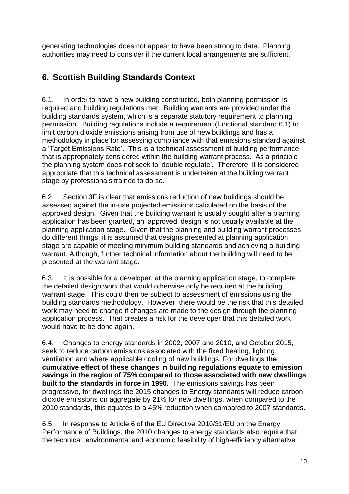generating technologies does not appear to have been strong to date. Planning authorities may need to consider if the current local arrangements are sufficient.

# <span id="page-11-0"></span>**6. Scottish Building Standards Context**

6.1. In order to have a new building constructed, both planning permission is required and building regulations met. Building warrants are provided under the building standards system, which is a separate statutory requirement to planning permission. Building regulations include a requirement (functional standard 6.1) to limit carbon dioxide emissions arising from use of new buildings and has a methodology in place for assessing compliance with that emissions standard against a 'Target Emissions Rate'. This is a technical assessment of building performance that is appropriately considered within the building warrant process. As a principle the planning system does not seek to 'double regulate'. Therefore it is considered appropriate that this technical assessment is undertaken at the building warrant stage by professionals trained to do so.

6.2. Section 3F is clear that emissions reduction of new buildings should be assessed against the in-use projected emissions calculated on the basis of the approved design. Given that the building warrant is usually sought after a planning application has been granted, an 'approved' design is not usually available at the planning application stage. Given that the planning and building warrant processes do different things, it is assumed that designs presented at planning application stage are capable of meeting minimum building standards and achieving a building warrant. Although, further technical information about the building will need to be presented at the warrant stage.

6.3. It is possible for a developer, at the planning application stage, to complete the detailed design work that would otherwise only be required at the building warrant stage. This could then be subject to assessment of emissions using the building standards methodology. However, there would be the risk that this detailed work may need to change if changes are made to the design through the planning application process. That creates a risk for the developer that this detailed work would have to be done again.

6.4. Changes to energy standards in 2002, 2007 and 2010, and October 2015, seek to reduce carbon emissions associated with the fixed heating, lighting, ventilation and where applicable cooling of new buildings. For dwellings **the cumulative effect of these changes in building regulations equate to emission savings in the region of 75% compared to those associated with new dwellings built to the standards in force in 1990.** The emissions savings has been progressive, for dwellings the 2015 changes to Energy standards will reduce carbon dioxide emissions on aggregate by 21% for new dwellings, when compared to the 2010 standards, this equates to a 45% reduction when compared to 2007 standards.

6.5. In response to Article 6 of the EU Directive 2010/31/EU on the Energy Performance of Buildings, the 2010 changes to energy standards also require that the technical, environmental and economic feasibility of high-efficiency alternative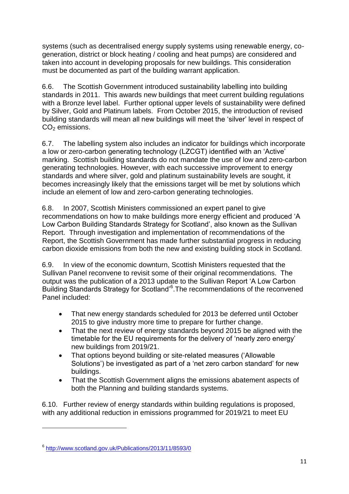systems (such as decentralised energy supply systems using renewable energy, cogeneration, district or block heating / cooling and heat pumps) are considered and taken into account in developing proposals for new buildings. This consideration must be documented as part of the building warrant application.

6.6. The Scottish Government introduced sustainability labelling into building standards in 2011. This awards new buildings that meet current building regulations with a Bronze level label. Further optional upper levels of sustainability were defined by Silver, Gold and Platinum labels. From October 2015, the introduction of revised building standards will mean all new buildings will meet the 'silver' level in respect of  $CO<sub>2</sub>$  emissions.

6.7. The labelling system also includes an indicator for buildings which incorporate a low or zero-carbon generating technology (LZCGT) identified with an 'Active' marking. Scottish building standards do not mandate the use of low and zero-carbon generating technologies. However, with each successive improvement to energy standards and where silver, gold and platinum sustainability levels are sought, it becomes increasingly likely that the emissions target will be met by solutions which include an element of low and zero-carbon generating technologies.

6.8. In 2007, Scottish Ministers commissioned an expert panel to give recommendations on how to make buildings more energy efficient and produced 'A Low Carbon Building Standards Strategy for Scotland', also known as the Sullivan Report. Through investigation and implementation of recommendations of the Report, the Scottish Government has made further substantial progress in reducing carbon dioxide emissions from both the new and existing building stock in Scotland.

6.9. In view of the economic downturn, Scottish Ministers requested that the Sullivan Panel reconvene to revisit some of their original recommendations. The output was the publication of a 2013 update to the Sullivan Report 'A Low Carbon Building Standards Strategy for Scotland<sup>®</sup>. The recommendations of the reconvened Panel included:

- That new energy standards scheduled for 2013 be deferred until October 2015 to give industry more time to prepare for further change.
- That the next review of energy standards beyond 2015 be aligned with the timetable for the EU requirements for the delivery of 'nearly zero energy' new buildings from 2019/21.
- That options beyond building or site-related measures ('Allowable Solutions') be investigated as part of a 'net zero carbon standard' for new buildings.
- That the Scottish Government aligns the emissions abatement aspects of both the Planning and building standards systems.

6.10. Further review of energy standards within building regulations is proposed, with any additional reduction in emissions programmed for 2019/21 to meet EU

1

<sup>6</sup> <http://www.scotland.gov.uk/Publications/2013/11/8593/0>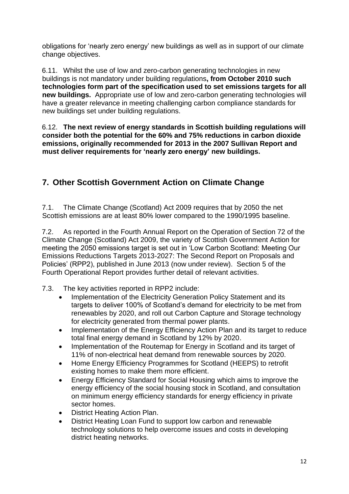obligations for 'nearly zero energy' new buildings as well as in support of our climate change objectives.

6.11. Whilst the use of low and zero-carbon generating technologies in new buildings is not mandatory under building regulations**, from October 2010 such technologies form part of the specification used to set emissions targets for all new buildings.** Appropriate use of low and zero-carbon generating technologies will have a greater relevance in meeting challenging carbon compliance standards for new buildings set under building regulations.

6.12. **The next review of energy standards in Scottish building regulations will consider both the potential for the 60% and 75% reductions in carbon dioxide emissions, originally recommended for 2013 in the 2007 Sullivan Report and must deliver requirements for 'nearly zero energy' new buildings.** 

# <span id="page-13-0"></span>**7. Other Scottish Government Action on Climate Change**

7.1. The Climate Change (Scotland) Act 2009 requires that by 2050 the net Scottish emissions are at least 80% lower compared to the 1990/1995 baseline.

7.2. As reported in the Fourth Annual Report on the Operation of Section 72 of the Climate Change (Scotland) Act 2009, the variety of Scottish Government Action for meeting the 2050 emissions target is set out in 'Low Carbon Scotland: Meeting Our Emissions Reductions Targets 2013-2027: The Second Report on Proposals and Policies' (RPP2), published in June 2013 (now under review). Section 5 of the Fourth Operational Report provides further detail of relevant activities.

- 7.3. The key activities reported in RPP2 include:
	- Implementation of the Electricity Generation Policy Statement and its targets to deliver 100% of Scotland's demand for electricity to be met from renewables by 2020, and roll out Carbon Capture and Storage technology for electricity generated from thermal power plants.
	- Implementation of the Energy Efficiency Action Plan and its target to reduce total final energy demand in Scotland by 12% by 2020.
	- Implementation of the Routemap for Energy in Scotland and its target of 11% of non-electrical heat demand from renewable sources by 2020.
	- Home Energy Efficiency Programmes for Scotland (HEEPS) to retrofit existing homes to make them more efficient.
	- Energy Efficiency Standard for Social Housing which aims to improve the energy efficiency of the social housing stock in Scotland, and consultation on minimum energy efficiency standards for energy efficiency in private sector homes.
	- District Heating Action Plan.
	- District Heating Loan Fund to support low carbon and renewable technology solutions to help overcome issues and costs in developing district heating networks.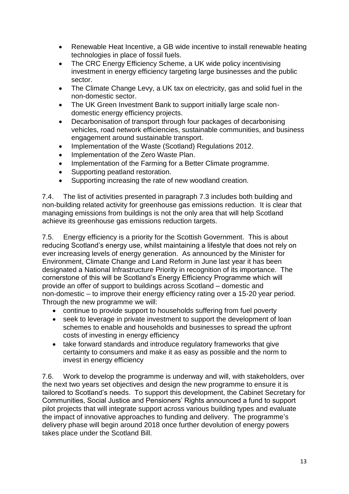- Renewable Heat Incentive, a GB wide incentive to install renewable heating technologies in place of fossil fuels.
- The CRC Energy Efficiency Scheme, a UK wide policy incentivising investment in energy efficiency targeting large businesses and the public sector.
- The Climate Change Levy, a UK tax on electricity, gas and solid fuel in the non-domestic sector.
- The UK Green Investment Bank to support initially large scale nondomestic energy efficiency projects.
- Decarbonisation of transport through four packages of decarbonising vehicles, road network efficiencies, sustainable communities, and business engagement around sustainable transport.
- Implementation of the Waste (Scotland) Regulations 2012.
- Implementation of the Zero Waste Plan.
- Implementation of the Farming for a Better Climate programme.
- Supporting peatland restoration.
- Supporting increasing the rate of new woodland creation.

7.4. The list of activities presented in paragraph 7.3 includes both building and non-building related activity for greenhouse gas emissions reduction. It is clear that managing emissions from buildings is not the only area that will help Scotland achieve its greenhouse gas emissions reduction targets.

7.5. Energy efficiency is a priority for the Scottish Government. This is about reducing Scotland's energy use, whilst maintaining a lifestyle that does not rely on ever increasing levels of energy generation. As announced by the Minister for Environment, Climate Change and Land Reform in June last year it has been designated a National Infrastructure Priority in recognition of its importance. The cornerstone of this will be Scotland's Energy Efficiency Programme which will provide an offer of support to buildings across Scotland – domestic and non-domestic – to improve their energy efficiency rating over a 15-20 year period. Through the new programme we will:

- continue to provide support to households suffering from fuel poverty
- seek to leverage in private investment to support the development of loan schemes to enable and households and businesses to spread the upfront costs of investing in energy efficiency
- take forward standards and introduce regulatory frameworks that give certainty to consumers and make it as easy as possible and the norm to invest in energy efficiency

7.6. Work to develop the programme is underway and will, with stakeholders, over the next two years set objectives and design the new programme to ensure it is tailored to Scotland's needs. To support this development, the Cabinet Secretary for Communities, Social Justice and Pensioners' Rights announced a fund to support pilot projects that will integrate support across various building types and evaluate the impact of innovative approaches to funding and delivery. The programme's delivery phase will begin around 2018 once further devolution of energy powers takes place under the Scotland Bill.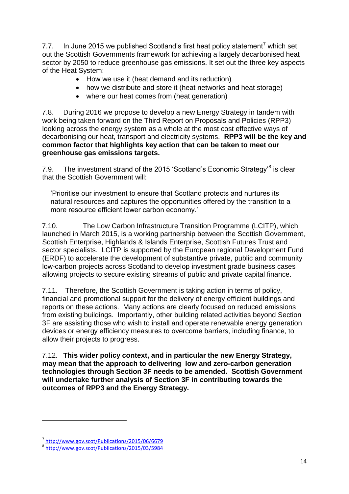7.7. In June 2015 we published Scotland's first heat policy statement<sup>7</sup> which set out the Scottish Governments framework for achieving a largely decarbonised heat sector by 2050 to reduce greenhouse gas emissions. It set out the three key aspects of the Heat System:

- How we use it (heat demand and its reduction)
- how we distribute and store it (heat networks and heat storage)
- where our heat comes from (heat generation)

7.8. During 2016 we propose to develop a new Energy Strategy in tandem with work being taken forward on the Third Report on Proposals and Policies (RPP3) looking across the energy system as a whole at the most cost effective ways of decarbonising our heat, transport and electricity systems. **RPP3 will be the key and common factor that highlights key action that can be taken to meet our greenhouse gas emissions targets.**

7.9. The investment strand of the 2015 'Scotland's Economic Strategy'<sup>8</sup> is clear that the Scottish Government will:

'Prioritise our investment to ensure that Scotland protects and nurtures its natural resources and captures the opportunities offered by the transition to a more resource efficient lower carbon economy.'

7.10. The Low Carbon Infrastructure Transition Programme (LCITP), which launched in March 2015, is a working partnership between the Scottish Government, Scottish Enterprise, Highlands & Islands Enterprise, Scottish Futures Trust and sector specialists. LCITP is supported by the European regional Development Fund (ERDF) to accelerate the development of substantive private, public and community low-carbon projects across Scotland to develop investment grade business cases allowing projects to secure existing streams of public and private capital finance.

7.11. Therefore, the Scottish Government is taking action in terms of policy, financial and promotional support for the delivery of energy efficient buildings and reports on these actions. Many actions are clearly focused on reduced emissions from existing buildings. Importantly, other building related activities beyond Section 3F are assisting those who wish to install and operate renewable energy generation devices or energy efficiency measures to overcome barriers, including finance, to allow their projects to progress.

7.12. **This wider policy context, and in particular the new Energy Strategy, may mean that the approach to delivering low and zero-carbon generation technologies through Section 3F needs to be amended. Scottish Government will undertake further analysis of Section 3F in contributing towards the outcomes of RPP3 and the Energy Strategy.**

**.** 

<sup>7</sup> <http://www.gov.scot/Publications/2015/06/6679>

<sup>8</sup> <http://www.gov.scot/Publications/2015/03/5984>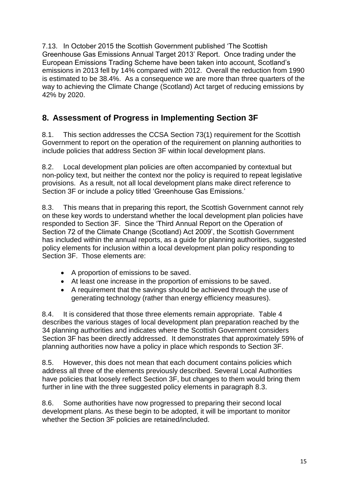7.13. In October 2015 the Scottish Government published 'The Scottish Greenhouse Gas Emissions Annual Target 2013' Report. Once trading under the European Emissions Trading Scheme have been taken into account, Scotland's emissions in 2013 fell by 14% compared with 2012. Overall the reduction from 1990 is estimated to be 38.4%. As a consequence we are more than three quarters of the way to achieving the Climate Change (Scotland) Act target of reducing emissions by 42% by 2020.

# <span id="page-16-0"></span>**8. Assessment of Progress in Implementing Section 3F**

8.1. This section addresses the CCSA Section 73(1) requirement for the Scottish Government to report on the operation of the requirement on planning authorities to include policies that address Section 3F within local development plans.

8.2. Local development plan policies are often accompanied by contextual but non-policy text, but neither the context nor the policy is required to repeat legislative provisions. As a result, not all local development plans make direct reference to Section 3F or include a policy titled 'Greenhouse Gas Emissions.'

8.3. This means that in preparing this report, the Scottish Government cannot rely on these key words to understand whether the local development plan policies have responded to Section 3F. Since the 'Third Annual Report on the Operation of Section 72 of the Climate Change (Scotland) Act 2009', the Scottish Government has included within the annual reports, as a guide for planning authorities, suggested policy elements for inclusion within a local development plan policy responding to Section 3F. Those elements are:

- A proportion of emissions to be saved.
- At least one increase in the proportion of emissions to be saved.
- A requirement that the savings should be achieved through the use of generating technology (rather than energy efficiency measures).

8.4. It is considered that those three elements remain appropriate. Table 4 describes the various stages of local development plan preparation reached by the 34 planning authorities and indicates where the Scottish Government considers Section 3F has been directly addressed. It demonstrates that approximately 59% of planning authorities now have a policy in place which responds to Section 3F.

8.5. However, this does not mean that each document contains policies which address all three of the elements previously described. Several Local Authorities have policies that loosely reflect Section 3F, but changes to them would bring them further in line with the three suggested policy elements in paragraph 8.3.

8.6. Some authorities have now progressed to preparing their second local development plans. As these begin to be adopted, it will be important to monitor whether the Section 3F policies are retained/included.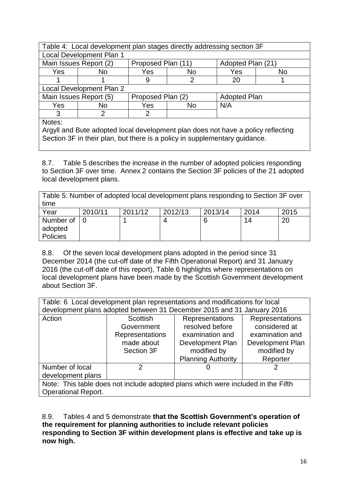| Table 4: Local development plan stages directly addressing section 3F            |                                                                    |                    |    |                   |                |  |
|----------------------------------------------------------------------------------|--------------------------------------------------------------------|--------------------|----|-------------------|----------------|--|
|                                                                                  | Local Development Plan 1                                           |                    |    |                   |                |  |
|                                                                                  | Main Issues Report (2)                                             | Proposed Plan (11) |    | Adopted Plan (21) |                |  |
| Yes                                                                              | No.                                                                | Yes                | No | Yes               | N <sub>o</sub> |  |
|                                                                                  |                                                                    | 9                  | 2  | 20                |                |  |
| Local Development Plan 2                                                         |                                                                    |                    |    |                   |                |  |
|                                                                                  | Main Issues Report (5)<br>Proposed Plan (2)<br><b>Adopted Plan</b> |                    |    |                   |                |  |
| N/A<br><b>Yes</b><br>Yes<br>No<br>No.                                            |                                                                    |                    |    |                   |                |  |
| 3<br>2                                                                           |                                                                    |                    |    |                   |                |  |
| Notes:                                                                           |                                                                    |                    |    |                   |                |  |
| Argyll and Bute adopted local development plan does not have a policy reflecting |                                                                    |                    |    |                   |                |  |

Section 3F in their plan, but there is a policy in supplementary guidance.

8.7. Table 5 describes the increase in the number of adopted policies responding to Section 3F over time. Annex 2 contains the Section 3F policies of the 21 adopted local development plans.

Table 5: Number of adopted local development plans responding to Section 3F over time

| Year                 | 2010/11 | 2011/12 | 2012/13 | 2013/14 | 2014 | 2015 |
|----------------------|---------|---------|---------|---------|------|------|
| Number of<br>adopted |         |         | 4       |         | 14   | 20   |
|                      |         |         |         |         |      |      |
| Policies             |         |         |         |         |      |      |

8.8. Of the seven local development plans adopted in the period since 31 December 2014 (the cut-off date of the Fifth Operational Report) and 31 January 2016 (the cut-off date of this report), Table 6 highlights where representations on local development plans have been made by the Scottish Government development about Section 3F.

| Table: 6 Local development plan representations and modifications for local      |                                                           |                                                                        |                 |  |  |  |
|----------------------------------------------------------------------------------|-----------------------------------------------------------|------------------------------------------------------------------------|-----------------|--|--|--|
|                                                                                  |                                                           | development plans adopted between 31 December 2015 and 31 January 2016 |                 |  |  |  |
| Action<br>Representations<br>Scottish<br>Representations                         |                                                           |                                                                        |                 |  |  |  |
|                                                                                  | Government                                                | resolved before                                                        | considered at   |  |  |  |
|                                                                                  | Representations                                           | examination and                                                        | examination and |  |  |  |
|                                                                                  | made about<br>Development Plan<br><b>Development Plan</b> |                                                                        |                 |  |  |  |
| modified by<br>modified by<br>Section 3F                                         |                                                           |                                                                        |                 |  |  |  |
|                                                                                  |                                                           | <b>Planning Authority</b>                                              | Reporter        |  |  |  |
| Number of local<br>2<br>O                                                        |                                                           |                                                                        |                 |  |  |  |
| development plans                                                                |                                                           |                                                                        |                 |  |  |  |
| Note: This table does not include adopted plans which were included in the Fifth |                                                           |                                                                        |                 |  |  |  |
| <b>Operational Report.</b>                                                       |                                                           |                                                                        |                 |  |  |  |

8.9. Tables 4 and 5 demonstrate **that the Scottish Government's operation of the requirement for planning authorities to include relevant policies responding to Section 3F within development plans is effective and take up is now high.**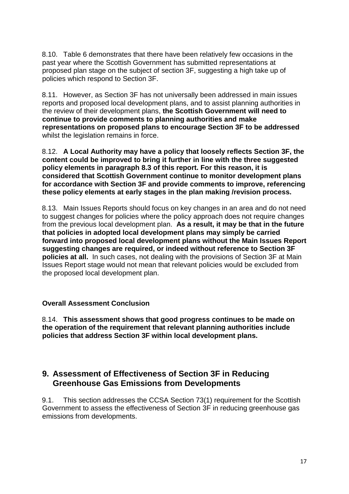8.10. Table 6 demonstrates that there have been relatively few occasions in the past year where the Scottish Government has submitted representations at proposed plan stage on the subject of section 3F, suggesting a high take up of policies which respond to Section 3F.

8.11. However, as Section 3F has not universally been addressed in main issues reports and proposed local development plans, and to assist planning authorities in the review of their development plans, **the Scottish Government will need to continue to provide comments to planning authorities and make representations on proposed plans to encourage Section 3F to be addressed** whilst the legislation remains in force.

8.12. **A Local Authority may have a policy that loosely reflects Section 3F, the content could be improved to bring it further in line with the three suggested policy elements in paragraph 8.3 of this report. For this reason, it is considered that Scottish Government continue to monitor development plans for accordance with Section 3F and provide comments to improve, referencing these policy elements at early stages in the plan making /revision process.** 

8.13. Main Issues Reports should focus on key changes in an area and do not need to suggest changes for policies where the policy approach does not require changes from the previous local development plan. **As a result, it may be that in the future that policies in adopted local development plans may simply be carried forward into proposed local development plans without the Main Issues Report suggesting changes are required, or indeed without reference to Section 3F policies at all.** In such cases, not dealing with the provisions of Section 3F at Main Issues Report stage would not mean that relevant policies would be excluded from the proposed local development plan.

### <span id="page-18-0"></span>**Overall Assessment Conclusion**

8.14. **This assessment shows that good progress continues to be made on the operation of the requirement that relevant planning authorities include policies that address Section 3F within local development plans.**

## <span id="page-18-1"></span>**9. Assessment of Effectiveness of Section 3F in Reducing Greenhouse Gas Emissions from Developments**

9.1. This section addresses the CCSA Section 73(1) requirement for the Scottish Government to assess the effectiveness of Section 3F in reducing greenhouse gas emissions from developments.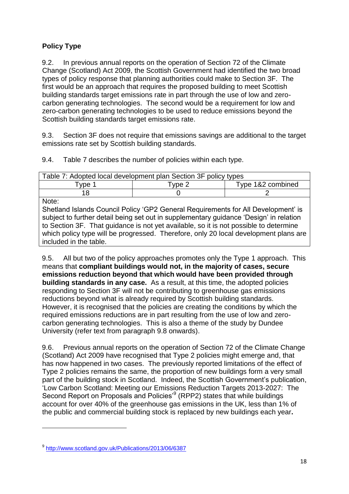### <span id="page-19-0"></span>**Policy Type**

9.2. In previous annual reports on the operation of Section 72 of the Climate Change (Scotland) Act 2009, the Scottish Government had identified the two broad types of policy response that planning authorities could make to Section 3F. The first would be an approach that requires the proposed building to meet Scottish building standards target emissions rate in part through the use of low and zerocarbon generating technologies. The second would be a requirement for low and zero-carbon generating technologies to be used to reduce emissions beyond the Scottish building standards target emissions rate.

9.3. Section 3F does not require that emissions savings are additional to the target emissions rate set by Scottish building standards.

9.4. Table 7 describes the number of policies within each type.

| Table 7: Adopted local development plan Section 3F policy types                        |        |                   |  |  |  |
|----------------------------------------------------------------------------------------|--------|-------------------|--|--|--|
| Type 1                                                                                 | Type 2 | Type 1&2 combined |  |  |  |
| 18                                                                                     |        |                   |  |  |  |
| Note:                                                                                  |        |                   |  |  |  |
| Shetland Islands Council Policy 'GP2 General Requirements for All Development' is      |        |                   |  |  |  |
| subject to further detail being set out in supplementary guidance 'Design' in relation |        |                   |  |  |  |
| to Section 3F. That guidance is not yet available, so it is not possible to determine  |        |                   |  |  |  |
| which policy type will be progressed. Therefore, only 20 local development plans are   |        |                   |  |  |  |
| included in the table.                                                                 |        |                   |  |  |  |

9.5. All but two of the policy approaches promotes only the Type 1 approach. This means that **compliant buildings would not, in the majority of cases, secure emissions reduction beyond that which would have been provided through building standards in any case.** As a result, at this time, the adopted policies responding to Section 3F will not be contributing to greenhouse gas emissions reductions beyond what is already required by Scottish building standards. However, it is recognised that the policies are creating the conditions by which the required emissions reductions are in part resulting from the use of low and zerocarbon generating technologies. This is also a theme of the study by Dundee University (refer text from paragraph 9.8 onwards).

9.6. Previous annual reports on the operation of Section 72 of the Climate Change (Scotland) Act 2009 have recognised that Type 2 policies might emerge and, that has now happened in two cases. The previously reported limitations of the effect of Type 2 policies remains the same, the proportion of new buildings form a very small part of the building stock in Scotland. Indeed, the Scottish Government's publication, 'Low Carbon Scotland: Meeting our Emissions Reduction Targets 2013-2027: The Second Report on Proposals and Policies<sup>39</sup> (RPP2) states that while buildings account for over 40% of the greenhouse gas emissions in the UK, less than 1% of the public and commercial building stock is replaced by new buildings each year**.** 

1

<sup>9</sup> <http://www.scotland.gov.uk/Publications/2013/06/6387>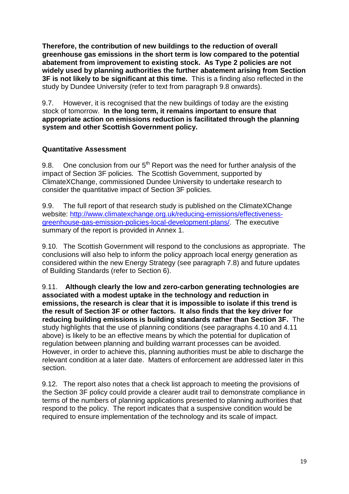**Therefore, the contribution of new buildings to the reduction of overall greenhouse gas emissions in the short term is low compared to the potential abatement from improvement to existing stock. As Type 2 policies are not widely used by planning authorities the further abatement arising from Section 3F is not likely to be significant at this time.** This is a finding also reflected in the study by Dundee University (refer to text from paragraph 9.8 onwards).

9.7. However, it is recognised that the new buildings of today are the existing stock of tomorrow. **In the long term, it remains important to ensure that appropriate action on emissions reduction is facilitated through the planning system and other Scottish Government policy.** 

### <span id="page-20-0"></span>**Quantitative Assessment**

9.8. One conclusion from our  $5<sup>th</sup>$  Report was the need for further analysis of the impact of Section 3F policies. The Scottish Government, supported by ClimateXChange, commissioned Dundee University to undertake research to consider the quantitative impact of Section 3F policies.

9.9. The full report of that research study is published on the ClimateXChange website: [http://www.climatexchange.org.uk/reducing-emissions/effectiveness](http://www.climatexchange.org.uk/reducing-emissions/effectiveness-greenhouse-gas-emission-policies-local-development-plans/)[greenhouse-gas-emission-policies-local-development-plans/.](http://www.climatexchange.org.uk/reducing-emissions/effectiveness-greenhouse-gas-emission-policies-local-development-plans/) The executive summary of the report is provided in Annex 1.

9.10. The Scottish Government will respond to the conclusions as appropriate. The conclusions will also help to inform the policy approach local energy generation as considered within the new Energy Strategy (see paragraph 7.8) and future updates of Building Standards (refer to Section 6).

9.11. **Although clearly the low and zero-carbon generating technologies are associated with a modest uptake in the technology and reduction in emissions, the research is clear that it is impossible to isolate if this trend is the result of Section 3F or other factors. It also finds that the key driver for reducing building emissions is building standards rather than Section 3F.** The study highlights that the use of planning conditions (see paragraphs 4.10 and 4.11 above) is likely to be an effective means by which the potential for duplication of regulation between planning and building warrant processes can be avoided. However, in order to achieve this, planning authorities must be able to discharge the relevant condition at a later date. Matters of enforcement are addressed later in this section.

9.12. The report also notes that a check list approach to meeting the provisions of the Section 3F policy could provide a clearer audit trail to demonstrate compliance in terms of the numbers of planning applications presented to planning authorities that respond to the policy. The report indicates that a suspensive condition would be required to ensure implementation of the technology and its scale of impact.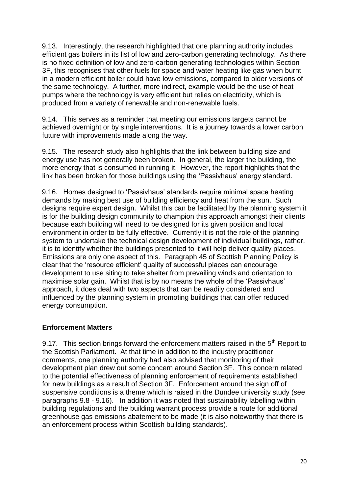9.13. Interestingly, the research highlighted that one planning authority includes efficient gas boilers in its list of low and zero-carbon generating technology. As there is no fixed definition of low and zero-carbon generating technologies within Section 3F, this recognises that other fuels for space and water heating like gas when burnt in a modern efficient boiler could have low emissions, compared to older versions of the same technology. A further, more indirect, example would be the use of heat pumps where the technology is very efficient but relies on electricity, which is produced from a variety of renewable and non-renewable fuels.

9.14. This serves as a reminder that meeting our emissions targets cannot be achieved overnight or by single interventions. It is a journey towards a lower carbon future with improvements made along the way.

9.15. The research study also highlights that the link between building size and energy use has not generally been broken. In general, the larger the building, the more energy that is consumed in running it. However, the report highlights that the link has been broken for those buildings using the 'Passivhaus' energy standard.

9.16. Homes designed to 'Passivhaus' standards require minimal space heating demands by making best use of building efficiency and heat from the sun. Such designs require expert design. Whilst this can be facilitated by the planning system it is for the building design community to champion this approach amongst their clients because each building will need to be designed for its given position and local environment in order to be fully effective. Currently it is not the role of the planning system to undertake the technical design development of individual buildings, rather, it is to identify whether the buildings presented to it will help deliver quality places. Emissions are only one aspect of this. Paragraph 45 of Scottish Planning Policy is clear that the 'resource efficient' quality of successful places can encourage development to use siting to take shelter from prevailing winds and orientation to maximise solar gain. Whilst that is by no means the whole of the 'Passivhaus' approach, it does deal with two aspects that can be readily considered and influenced by the planning system in promoting buildings that can offer reduced energy consumption.

### <span id="page-21-0"></span>**Enforcement Matters**

9.17. This section brings forward the enforcement matters raised in the  $5<sup>th</sup>$  Report to the Scottish Parliament. At that time in addition to the industry practitioner comments, one planning authority had also advised that monitoring of their development plan drew out some concern around Section 3F. This concern related to the potential effectiveness of planning enforcement of requirements established for new buildings as a result of Section 3F. Enforcement around the sign off of suspensive conditions is a theme which is raised in the Dundee university study (see paragraphs 9.8 - 9.16). In addition it was noted that sustainability labelling within building regulations and the building warrant process provide a route for additional greenhouse gas emissions abatement to be made (it is also noteworthy that there is an enforcement process within Scottish building standards).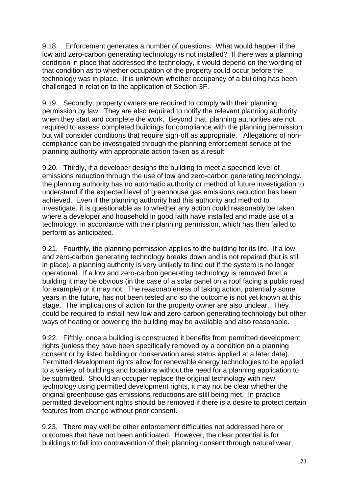9.18. Enforcement generates a number of questions. What would happen if the low and zero-carbon generating technology is not installed? If there was a planning condition in place that addressed the technology, it would depend on the wording of that condition as to whether occupation of the property could occur before the technology was in place. It is unknown whether occupancy of a building has been challenged in relation to the application of Section 3F.

9.19. Secondly, property owners are required to comply with their planning permission by law. They are also required to notify the relevant planning authority when they start and complete the work. Beyond that, planning authorities are not required to assess completed buildings for compliance with the planning permission but will consider conditions that require sign-off as appropriate. Allegations of noncompliance can be investigated through the planning enforcement service of the planning authority with appropriate action taken as a result.

9.20. Thirdly, if a developer designs the building to meet a specified level of emissions reduction through the use of low and zero-carbon generating technology, the planning authority has no automatic authority or method of future investigation to understand if the expected level of greenhouse gas emissions reduction has been achieved. Even if the planning authority had this authority and method to investigate, it is questionable as to whether any action could reasonably be taken where a developer and household in good faith have installed and made use of a technology, in accordance with their planning permission, which has then failed to perform as anticipated.

9.21. Fourthly, the planning permission applies to the building for its life. If a low and zero-carbon generating technology breaks down and is not repaired (but is still in place), a planning authority is very unlikely to find out if the system is no longer operational. If a low and zero-carbon generating technology is removed from a building it may be obvious (in the case of a solar panel on a roof facing a public road for example) or it may not. The reasonableness of taking action, potentially some years in the future, has not been tested and so the outcome is not yet known at this stage. The implications of action for the property owner are also unclear. They could be required to install new low and zero-carbon generating technology but other ways of heating or powering the building may be available and also reasonable.

9.22. Fifthly, once a building is constructed it benefits from permitted development rights (unless they have been specifically removed by a condition on a planning consent or by listed building or conservation area status applied at a later date). Permitted development rights allow for renewable energy technologies to be applied to a variety of buildings and locations without the need for a planning application to be submitted. Should an occupier replace the original technology with new technology using permitted development rights, it may not be clear whether the original greenhouse gas emissions reductions are still being met. In practice permitted development rights should be removed if there is a desire to protect certain features from change without prior consent.

9.23. There may well be other enforcement difficulties not addressed here or outcomes that have not been anticipated. However, the clear potential is for buildings to fall into contravention of their planning consent through natural wear,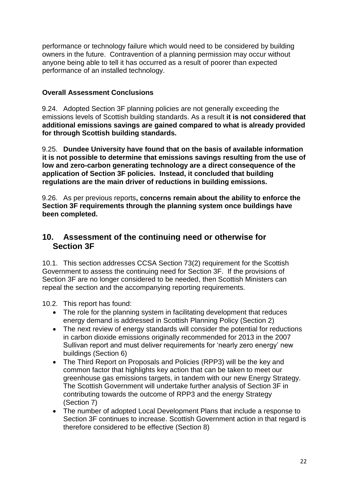performance or technology failure which would need to be considered by building owners in the future. Contravention of a planning permission may occur without anyone being able to tell it has occurred as a result of poorer than expected performance of an installed technology.

### <span id="page-23-0"></span>**Overall Assessment Conclusions**

9.24. Adopted Section 3F planning policies are not generally exceeding the emissions levels of Scottish building standards. As a result **it is not considered that additional emissions savings are gained compared to what is already provided for through Scottish building standards.**

9.25. **Dundee University have found that on the basis of available information it is not possible to determine that emissions savings resulting from the use of low and zero-carbon generating technology are a direct consequence of the application of Section 3F policies. Instead, it concluded that building regulations are the main driver of reductions in building emissions.**

9.26. As per previous reports**, concerns remain about the ability to enforce the Section 3F requirements through the planning system once buildings have been completed.** 

### <span id="page-23-1"></span>**10. Assessment of the continuing need or otherwise for Section 3F**

10.1. This section addresses CCSA Section 73(2) requirement for the Scottish Government to assess the continuing need for Section 3F. If the provisions of Section 3F are no longer considered to be needed, then Scottish Ministers can repeal the section and the accompanying reporting requirements.

10.2. This report has found:

- The role for the planning system in facilitating development that reduces energy demand is addressed in Scottish Planning Policy (Section 2)
- The next review of energy standards will consider the potential for reductions in carbon dioxide emissions originally recommended for 2013 in the 2007 Sullivan report and must deliver requirements for 'nearly zero energy' new buildings (Section 6)
- The Third Report on Proposals and Policies (RPP3) will be the key and common factor that highlights key action that can be taken to meet our greenhouse gas emissions targets, in tandem with our new Energy Strategy. The Scottish Government will undertake further analysis of Section 3F in contributing towards the outcome of RPP3 and the energy Strategy (Section 7)
- The number of adopted Local Development Plans that include a response to Section 3F continues to increase. Scottish Government action in that regard is therefore considered to be effective (Section 8)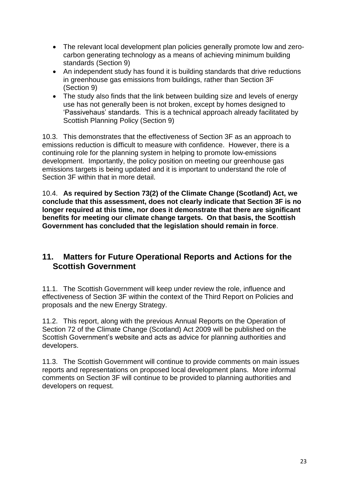- The relevant local development plan policies generally promote low and zerocarbon generating technology as a means of achieving minimum building standards (Section 9)
- An independent study has found it is building standards that drive reductions in greenhouse gas emissions from buildings, rather than Section 3F (Section 9)
- The study also finds that the link between building size and levels of energy use has not generally been is not broken, except by homes designed to 'Passivehaus' standards. This is a technical approach already facilitated by Scottish Planning Policy (Section 9)

10.3. This demonstrates that the effectiveness of Section 3F as an approach to emissions reduction is difficult to measure with confidence. However, there is a continuing role for the planning system in helping to promote low-emissions development. Importantly, the policy position on meeting our greenhouse gas emissions targets is being updated and it is important to understand the role of Section 3F within that in more detail.

10.4. **As required by Section 73(2) of the Climate Change (Scotland) Act, we conclude that this assessment, does not clearly indicate that Section 3F is no longer required at this time, nor does it demonstrate that there are significant benefits for meeting our climate change targets. On that basis, the Scottish Government has concluded that the legislation should remain in force**.

## <span id="page-24-0"></span>**11. Matters for Future Operational Reports and Actions for the Scottish Government**

11.1. The Scottish Government will keep under review the role, influence and effectiveness of Section 3F within the context of the Third Report on Policies and proposals and the new Energy Strategy.

11.2. This report, along with the previous Annual Reports on the Operation of Section 72 of the Climate Change (Scotland) Act 2009 will be published on the Scottish Government's website and acts as advice for planning authorities and developers.

11.3. The Scottish Government will continue to provide comments on main issues reports and representations on proposed local development plans. More informal comments on Section 3F will continue to be provided to planning authorities and developers on request.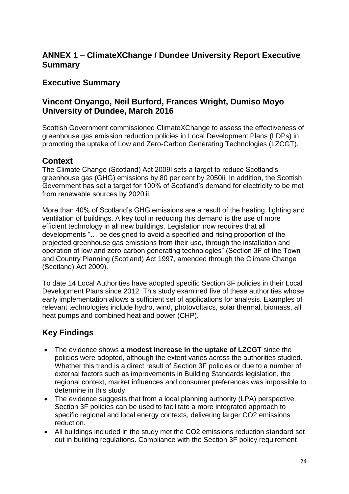## <span id="page-25-0"></span>**ANNEX 1 – ClimateXChange / Dundee University Report Executive Summary**

## **Executive Summary**

## **Vincent Onyango, Neil Burford, Frances Wright, Dumiso Moyo University of Dundee, March 2016**

Scottish Government commissioned ClimateXChange to assess the effectiveness of greenhouse gas emission reduction policies in Local Development Plans (LDPs) in promoting the uptake of Low and Zero-Carbon Generating Technologies (LZCGT).

## **Context**

The Climate Change (Scotland) Act 2009i sets a target to reduce Scotland's greenhouse gas (GHG) emissions by 80 per cent by 2050ii. In addition, the Scottish Government has set a target for 100% of Scotland's demand for electricity to be met from renewable sources by 2020iii.

More than 40% of Scotland's GHG emissions are a result of the heating, lighting and ventilation of buildings. A key tool in reducing this demand is the use of more efficient technology in all new buildings. Legislation now requires that all developments "… be designed to avoid a specified and rising proportion of the projected greenhouse gas emissions from their use, through the installation and operation of low and zero-carbon generating technologies" (Section 3F of the Town and Country Planning (Scotland) Act 1997, amended through the Climate Change (Scotland) Act 2009).

To date 14 Local Authorities have adopted specific Section 3F policies in their Local Development Plans since 2012. This study examined five of these authorities whose early implementation allows a sufficient set of applications for analysis. Examples of relevant technologies include hydro, wind, photovoltaics, solar thermal, biomass, all heat pumps and combined heat and power (CHP).

# **Key Findings**

- The evidence shows **a modest increase in the uptake of LZCGT** since the policies were adopted, although the extent varies across the authorities studied. Whether this trend is a direct result of Section 3F policies or due to a number of external factors such as improvements in Building Standards legislation, the regional context, market influences and consumer preferences was impossible to determine in this study.
- The evidence suggests that from a local planning authority (LPA) perspective, Section 3F policies can be used to facilitate a more integrated approach to specific regional and local energy contexts, delivering larger CO2 emissions reduction.
- All buildings included in the study met the CO2 emissions reduction standard set out in building regulations. Compliance with the Section 3F policy requirement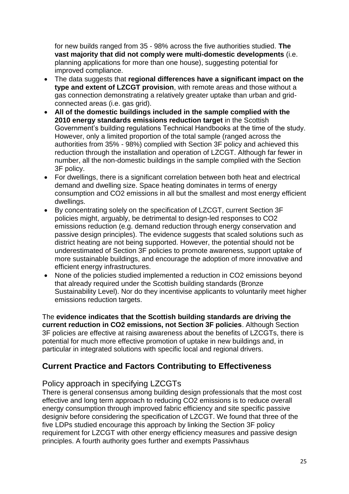for new builds ranged from 35 - 98% across the five authorities studied. **The vast majority that did not comply were multi-domestic developments** (i.e. planning applications for more than one house), suggesting potential for improved compliance.

- The data suggests that **regional differences have a significant impact on the type and extent of LZCGT provision**, with remote areas and those without a gas connection demonstrating a relatively greater uptake than urban and gridconnected areas (i.e. gas grid).
- **All of the domestic buildings included in the sample complied with the 2010 energy standards emissions reduction target** in the Scottish Government's building regulations Technical Handbooks at the time of the study. However, only a limited proportion of the total sample (ranged across the authorities from 35% - 98%) complied with Section 3F policy and achieved this reduction through the installation and operation of LZCGT. Although far fewer in number, all the non-domestic buildings in the sample complied with the Section 3F policy.
- For dwellings, there is a significant correlation between both heat and electrical demand and dwelling size. Space heating dominates in terms of energy consumption and CO2 emissions in all but the smallest and most energy efficient dwellings.
- By concentrating solely on the specification of LZCGT, current Section 3F policies might, arguably, be detrimental to design-led responses to CO2 emissions reduction (e.g. demand reduction through energy conservation and passive design principles). The evidence suggests that scaled solutions such as district heating are not being supported. However, the potential should not be underestimated of Section 3F policies to promote awareness, support uptake of more sustainable buildings, and encourage the adoption of more innovative and efficient energy infrastructures.
- None of the policies studied implemented a reduction in CO2 emissions beyond that already required under the Scottish building standards (Bronze Sustainability Level). Nor do they incentivise applicants to voluntarily meet higher emissions reduction targets.

The **evidence indicates that the Scottish building standards are driving the current reduction in CO2 emissions, not Section 3F policies**. Although Section 3F policies are effective at raising awareness about the benefits of LZCGTs, there is potential for much more effective promotion of uptake in new buildings and, in particular in integrated solutions with specific local and regional drivers.

## **Current Practice and Factors Contributing to Effectiveness**

### Policy approach in specifying LZCGTs

There is general consensus among building design professionals that the most cost effective and long term approach to reducing CO2 emissions is to reduce overall energy consumption through improved fabric efficiency and site specific passive designiv before considering the specification of LZCGT. We found that three of the five LDPs studied encourage this approach by linking the Section 3F policy requirement for LZCGT with other energy efficiency measures and passive design principles. A fourth authority goes further and exempts Passivhaus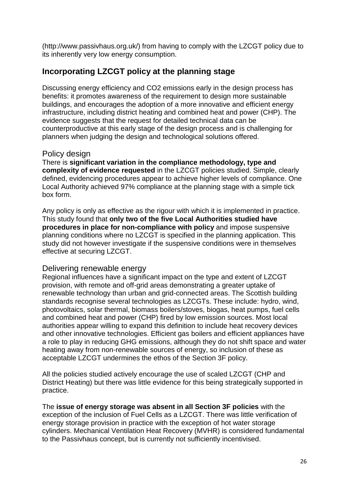(http://www.passivhaus.org.uk/) from having to comply with the LZCGT policy due to its inherently very low energy consumption.

## **Incorporating LZCGT policy at the planning stage**

Discussing energy efficiency and CO2 emissions early in the design process has benefits: it promotes awareness of the requirement to design more sustainable buildings, and encourages the adoption of a more innovative and efficient energy infrastructure, including district heating and combined heat and power (CHP). The evidence suggests that the request for detailed technical data can be counterproductive at this early stage of the design process and is challenging for planners when judging the design and technological solutions offered.

### Policy design

There is **significant variation in the compliance methodology, type and complexity of evidence requested** in the LZCGT policies studied. Simple, clearly defined, evidencing procedures appear to achieve higher levels of compliance. One Local Authority achieved 97% compliance at the planning stage with a simple tick box form.

Any policy is only as effective as the rigour with which it is implemented in practice. This study found that **only two of the five Local Authorities studied have procedures in place for non-compliance with policy** and impose suspensive planning conditions where no LZCGT is specified in the planning application. This study did not however investigate if the suspensive conditions were in themselves effective at securing LZCGT.

### Delivering renewable energy

Regional influences have a significant impact on the type and extent of LZCGT provision, with remote and off-grid areas demonstrating a greater uptake of renewable technology than urban and grid-connected areas. The Scottish building standards recognise several technologies as LZCGTs. These include: hydro, wind, photovoltaics, solar thermal, biomass boilers/stoves, biogas, heat pumps, fuel cells and combined heat and power (CHP) fired by low emission sources. Most local authorities appear willing to expand this definition to include heat recovery devices and other innovative technologies. Efficient gas boilers and efficient appliances have a role to play in reducing GHG emissions, although they do not shift space and water heating away from non-renewable sources of energy, so inclusion of these as acceptable LZCGT undermines the ethos of the Section 3F policy.

All the policies studied actively encourage the use of scaled LZCGT (CHP and District Heating) but there was little evidence for this being strategically supported in practice.

The **issue of energy storage was absent in all Section 3F policies** with the exception of the inclusion of Fuel Cells as a LZCGT. There was little verification of energy storage provision in practice with the exception of hot water storage cylinders. Mechanical Ventilation Heat Recovery (MVHR) is considered fundamental to the Passivhaus concept, but is currently not sufficiently incentivised.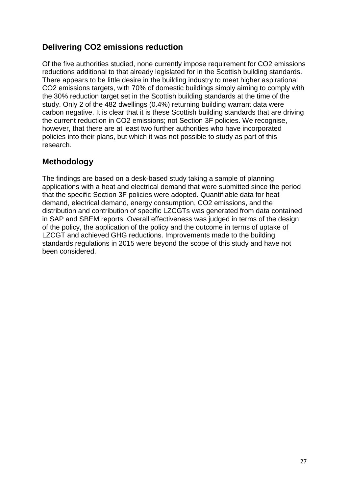## **Delivering CO2 emissions reduction**

Of the five authorities studied, none currently impose requirement for CO2 emissions reductions additional to that already legislated for in the Scottish building standards. There appears to be little desire in the building industry to meet higher aspirational CO2 emissions targets, with 70% of domestic buildings simply aiming to comply with the 30% reduction target set in the Scottish building standards at the time of the study. Only 2 of the 482 dwellings (0.4%) returning building warrant data were carbon negative. It is clear that it is these Scottish building standards that are driving the current reduction in CO2 emissions; not Section 3F policies. We recognise, however, that there are at least two further authorities who have incorporated policies into their plans, but which it was not possible to study as part of this research.

# **Methodology**

The findings are based on a desk-based study taking a sample of planning applications with a heat and electrical demand that were submitted since the period that the specific Section 3F policies were adopted. Quantifiable data for heat demand, electrical demand, energy consumption, CO2 emissions, and the distribution and contribution of specific LZCGTs was generated from data contained in SAP and SBEM reports. Overall effectiveness was judged in terms of the design of the policy, the application of the policy and the outcome in terms of uptake of LZCGT and achieved GHG reductions. Improvements made to the building standards regulations in 2015 were beyond the scope of this study and have not been considered.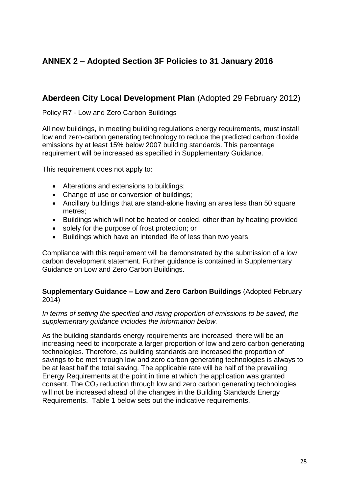# <span id="page-29-0"></span>**ANNEX 2 – Adopted Section 3F Policies to 31 January 2016**

## **Aberdeen City Local Development Plan** (Adopted 29 February 2012)

Policy R7 - Low and Zero Carbon Buildings

All new buildings, in meeting building regulations energy requirements, must install low and zero-carbon generating technology to reduce the predicted carbon dioxide emissions by at least 15% below 2007 building standards. This percentage requirement will be increased as specified in Supplementary Guidance.

This requirement does not apply to:

- Alterations and extensions to buildings;
- Change of use or conversion of buildings;
- Ancillary buildings that are stand-alone having an area less than 50 square metres;
- Buildings which will not be heated or cooled, other than by heating provided
- solely for the purpose of frost protection; or
- Buildings which have an intended life of less than two years.

Compliance with this requirement will be demonstrated by the submission of a low carbon development statement. Further guidance is contained in Supplementary Guidance on Low and Zero Carbon Buildings.

#### **Supplementary Guidance – Low and Zero Carbon Buildings** (Adopted February 2014)

#### In terms of setting the specified and rising proportion of emissions to be saved, the *supplementary guidance includes the information below.*

As the building standards energy requirements are increased there will be an increasing need to incorporate a larger proportion of low and zero carbon generating technologies. Therefore, as building standards are increased the proportion of savings to be met through low and zero carbon generating technologies is always to be at least half the total saving. The applicable rate will be half of the prevailing Energy Requirements at the point in time at which the application was granted consent. The  $CO<sub>2</sub>$  reduction through low and zero carbon generating technologies will not be increased ahead of the changes in the Building Standards Energy Requirements. Table 1 below sets out the indicative requirements.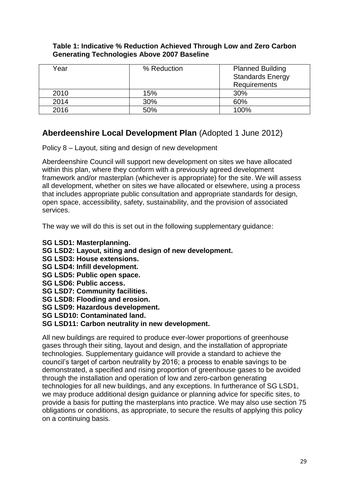#### **Table 1: Indicative % Reduction Achieved Through Low and Zero Carbon Generating Technologies Above 2007 Baseline**

| Year | % Reduction | <b>Planned Building</b><br><b>Standards Energy</b><br>Requirements |
|------|-------------|--------------------------------------------------------------------|
| 2010 | 15%         | 30%                                                                |
| 2014 | 30%         | 60%                                                                |
| 2016 | 50%         | 100%                                                               |

## **Aberdeenshire Local Development Plan** (Adopted 1 June 2012)

Policy 8 – Layout, siting and design of new development

Aberdeenshire Council will support new development on sites we have allocated within this plan, where they conform with a previously agreed development framework and/or masterplan (whichever is appropriate) for the site. We will assess all development, whether on sites we have allocated or elsewhere, using a process that includes appropriate public consultation and appropriate standards for design, open space, accessibility, safety, sustainability, and the provision of associated services.

The way we will do this is set out in the following supplementary guidance:

- **SG LSD1: Masterplanning.**
- **SG LSD2: Layout, siting and design of new development.**
- **SG LSD3: House extensions.**
- **SG LSD4: Infill development.**
- **SG LSD5: Public open space.**
- **SG LSD6: Public access.**
- **SG LSD7: Community facilities.**
- **SG LSD8: Flooding and erosion.**
- **SG LSD9: Hazardous development.**
- **SG LSD10: Contaminated land.**

### **SG LSD11: Carbon neutrality in new development.**

All new buildings are required to produce ever-lower proportions of greenhouse gases through their siting, layout and design, and the installation of appropriate technologies. Supplementary guidance will provide a standard to achieve the council's target of carbon neutrality by 2016; a process to enable savings to be demonstrated, a specified and rising proportion of greenhouse gases to be avoided through the installation and operation of low and zero-carbon generating technologies for all new buildings, and any exceptions. In furtherance of SG LSD1, we may produce additional design guidance or planning advice for specific sites, to provide a basis for putting the masterplans into practice. We may also use section 75 obligations or conditions, as appropriate, to secure the results of applying this policy on a continuing basis.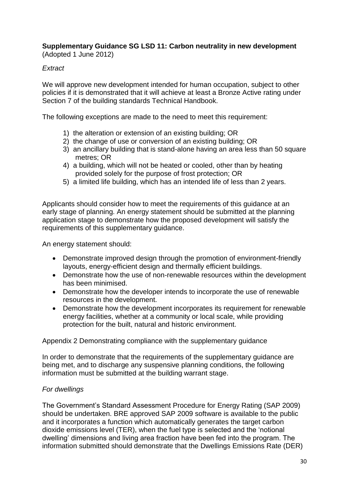**Supplementary Guidance SG LSD 11: Carbon neutrality in new development** (Adopted 1 June 2012)

### *Extract*

We will approve new development intended for human occupation, subject to other policies if it is demonstrated that it will achieve at least a Bronze Active rating under Section 7 of the building standards Technical Handbook.

The following exceptions are made to the need to meet this requirement:

- 1) the alteration or extension of an existing building; OR
- 2) the change of use or conversion of an existing building; OR
- 3)an ancillary building that is stand-alone having an area less than 50 square metres; OR
- 4)a building, which will not be heated or cooled, other than by heating provided solely for the purpose of frost protection; OR
- 5)a limited life building, which has an intended life of less than 2 years.

Applicants should consider how to meet the requirements of this guidance at an early stage of planning. An energy statement should be submitted at the planning application stage to demonstrate how the proposed development will satisfy the requirements of this supplementary guidance.

An energy statement should:

- Demonstrate improved design through the promotion of environment-friendly layouts, energy-efficient design and thermally efficient buildings.
- Demonstrate how the use of non-renewable resources within the development has been minimised.
- Demonstrate how the developer intends to incorporate the use of renewable resources in the development.
- Demonstrate how the development incorporates its requirement for renewable energy facilities, whether at a community or local scale, while providing protection for the built, natural and historic environment.

Appendix 2 Demonstrating compliance with the supplementary guidance

In order to demonstrate that the requirements of the supplementary guidance are being met, and to discharge any suspensive planning conditions, the following information must be submitted at the building warrant stage.

#### *For dwellings*

The Government's Standard Assessment Procedure for Energy Rating (SAP 2009) should be undertaken. BRE approved SAP 2009 software is available to the public and it incorporates a function which automatically generates the target carbon dioxide emissions level (TER), when the fuel type is selected and the 'notional dwelling' dimensions and living area fraction have been fed into the program. The information submitted should demonstrate that the Dwellings Emissions Rate (DER)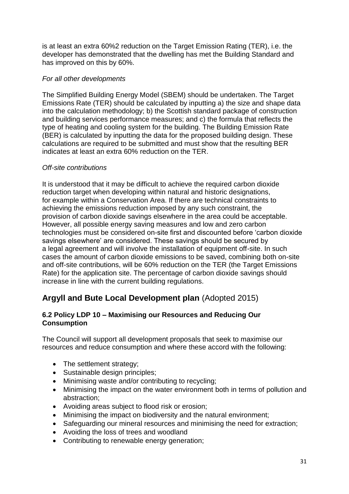is at least an extra 60%2 reduction on the Target Emission Rating (TER), i.e. the developer has demonstrated that the dwelling has met the Building Standard and has improved on this by 60%.

#### *For all other developments*

The Simplified Building Energy Model (SBEM) should be undertaken. The Target Emissions Rate (TER) should be calculated by inputting a) the size and shape data into the calculation methodology; b) the Scottish standard package of construction and building services performance measures; and c) the formula that reflects the type of heating and cooling system for the building. The Building Emission Rate (BER) is calculated by inputting the data for the proposed building design. These calculations are required to be submitted and must show that the resulting BER indicates at least an extra 60% reduction on the TER.

#### *Off-site contributions*

It is understood that it may be difficult to achieve the required carbon dioxide reduction target when developing within natural and historic designations, for example within a Conservation Area. If there are technical constraints to achieving the emissions reduction imposed by any such constraint, the provision of carbon dioxide savings elsewhere in the area could be acceptable. However, all possible energy saving measures and low and zero carbon technologies must be considered on-site first and discounted before 'carbon dioxide savings elsewhere' are considered. These savings should be secured by a legal agreement and will involve the installation of equipment off-site. In such cases the amount of carbon dioxide emissions to be saved, combining both on-site and off-site contributions, will be 60% reduction on the TER (the Target Emissions Rate) for the application site. The percentage of carbon dioxide savings should increase in line with the current building regulations.

## **Argyll and Bute Local Development plan** (Adopted 2015)

#### **6.2 Policy LDP 10 – Maximising our Resources and Reducing Our Consumption**

The Council will support all development proposals that seek to maximise our resources and reduce consumption and where these accord with the following:

- The settlement strategy;
- Sustainable design principles;
- Minimising waste and/or contributing to recycling;
- Minimising the impact on the water environment both in terms of pollution and abstraction;
- Avoiding areas subject to flood risk or erosion;
- Minimising the impact on biodiversity and the natural environment;
- Safeguarding our mineral resources and minimising the need for extraction;
- Avoiding the loss of trees and woodland
- Contributing to renewable energy generation;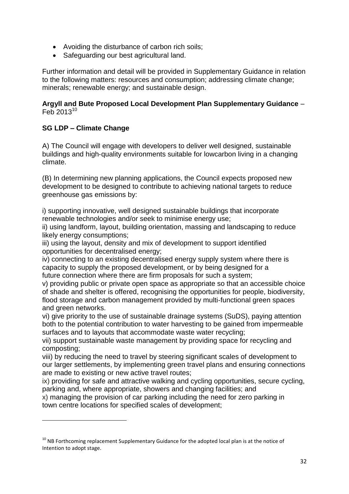- Avoiding the disturbance of carbon rich soils;
- Safeguarding our best agricultural land.

Further information and detail will be provided in Supplementary Guidance in relation to the following matters: resources and consumption; addressing climate change; minerals; renewable energy; and sustainable design.

#### **Argyll and Bute Proposed Local Development Plan Supplementary Guidance** – Feb 2013<sup>10</sup>

### **SG LDP – Climate Change**

**.** 

A) The Council will engage with developers to deliver well designed, sustainable buildings and high‐quality environments suitable for lowcarbon living in a changing climate.

(B) In determining new planning applications, the Council expects proposed new development to be designed to contribute to achieving national targets to reduce greenhouse gas emissions by:

i) supporting innovative, well designed sustainable buildings that incorporate renewable technologies and/or seek to minimise energy use;

ii) using landform, layout, building orientation, massing and landscaping to reduce likely energy consumptions;

iii) using the layout, density and mix of development to support identified opportunities for decentralised energy;

iv) connecting to an existing decentralised energy supply system where there is capacity to supply the proposed development, or by being designed for a future connection where there are firm proposals for such a system;

v) providing public or private open space as appropriate so that an accessible choice of shade and shelter is offered, recognising the opportunities for people, biodiversity, flood storage and carbon management provided by multi‐functional green spaces and green networks.

vi) give priority to the use of sustainable drainage systems (SuDS), paying attention both to the potential contribution to water harvesting to be gained from impermeable surfaces and to layouts that accommodate waste water recycling;

vii) support sustainable waste management by providing space for recycling and composting;

viii) by reducing the need to travel by steering significant scales of development to our larger settlements, by implementing green travel plans and ensuring connections are made to existing or new active travel routes;

ix) providing for safe and attractive walking and cycling opportunities, secure cycling, parking and, where appropriate, showers and changing facilities; and

x) managing the provision of car parking including the need for zero parking in town centre locations for specified scales of development;

 $10$  NB Forthcoming replacement Supplementary Guidance for the adopted local plan is at the notice of Intention to adopt stage.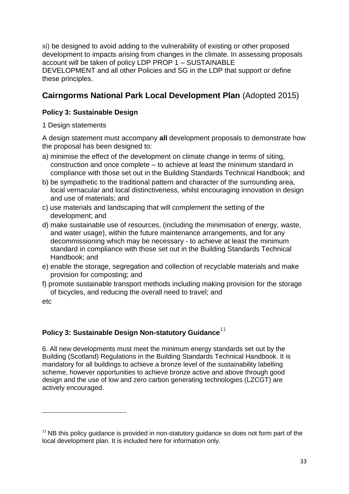xi) be designed to avoid adding to the vulnerability of existing or other proposed development to impacts arising from changes in the climate. In assessing proposals account will be taken of policy LDP PROP 1 – SUSTAINABLE DEVELOPMENT and all other Policies and SG in the LDP that support or define these principles.

# **Cairngorms National Park Local Development Plan** (Adopted 2015)

### **Policy 3: Sustainable Design**

1 Design statements

A design statement must accompany **all** development proposals to demonstrate how the proposal has been designed to:

- a) minimise the effect of the development on climate change in terms of siting, construction and once complete – to achieve at least the minimum standard in compliance with those set out in the Building Standards Technical Handbook; and
- b) be sympathetic to the traditional pattern and character of the surrounding area, local vernacular and local distinctiveness, whilst encouraging innovation in design and use of materials; and
- c) use materials and landscaping that will complement the setting of the development; and
- d) make sustainable use of resources, (including the minimisation of energy, waste, and water usage), within the future maintenance arrangements, and for any decommissioning which may be necessary - to achieve at least the minimum standard in compliance with those set out in the Building Standards Technical Handbook; and
- e) enable the storage, segregation and collection of recyclable materials and make provision for composting; and
- f) promote sustainable transport methods including making provision for the storage of bicycles, and reducing the overall need to travel; and

etc

**.** 

### **Policy 3: Sustainable Design Non-statutory Guidance**<sup>11</sup>

6. All new developments must meet the minimum energy standards set out by the Building (Scotland) Regulations in the Building Standards Technical Handbook. It is mandatory for all buildings to achieve a bronze level of the sustainability labelling scheme, however opportunities to achieve bronze active and above through good design and the use of low and zero carbon generating technologies (LZCGT) are actively encouraged.

 $11$  NB this policy guidance is provided in non-statutory guidance so does not form part of the local development plan. It is included here for information only.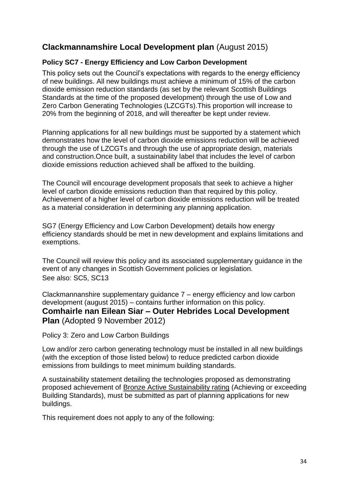## **Clackmannamshire Local Development plan** (August 2015)

### **Policy SC7 - Energy Efficiency and Low Carbon Development**

This policy sets out the Council's expectations with regards to the energy efficiency of new buildings. All new buildings must achieve a minimum of 15% of the carbon dioxide emission reduction standards (as set by the relevant Scottish Buildings Standards at the time of the proposed development) through the use of Low and Zero Carbon Generating Technologies (LZCGTs).This proportion will increase to 20% from the beginning of 2018, and will thereafter be kept under review.

Planning applications for all new buildings must be supported by a statement which demonstrates how the level of carbon dioxide emissions reduction will be achieved through the use of LZCGTs and through the use of appropriate design, materials and construction.Once built, a sustainability label that includes the level of carbon dioxide emissions reduction achieved shall be affixed to the building.

The Council will encourage development proposals that seek to achieve a higher level of carbon dioxide emissions reduction than that required by this policy. Achievement of a higher level of carbon dioxide emissions reduction will be treated as a material consideration in determining any planning application.

SG7 (Energy Efficiency and Low Carbon Development) details how energy efficiency standards should be met in new development and explains limitations and exemptions.

The Council will review this policy and its associated supplementary guidance in the event of any changes in Scottish Government policies or legislation. See also: SC5, SC13

Clackmannanshire supplementary guidance 7 – energy efficiency and low carbon development (august 2015) – contains further information on this policy. **Comhairle nan Eilean Siar – Outer Hebrides Local Development Plan** (Adopted 9 November 2012)

Policy 3: Zero and Low Carbon Buildings

Low and/or zero carbon generating technology must be installed in all new buildings (with the exception of those listed below) to reduce predicted carbon dioxide emissions from buildings to meet minimum building standards.

A sustainability statement detailing the technologies proposed as demonstrating proposed achievement of Bronze Active Sustainability rating (Achieving or exceeding Building Standards), must be submitted as part of planning applications for new buildings.

This requirement does not apply to any of the following: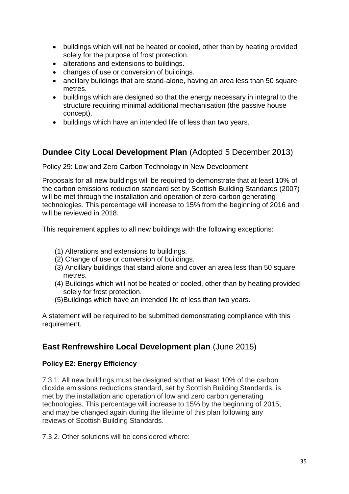- buildings which will not be heated or cooled, other than by heating provided solely for the purpose of frost protection.
- alterations and extensions to buildings.
- changes of use or conversion of buildings.
- ancillary buildings that are stand-alone, having an area less than 50 square metres.
- buildings which are designed so that the energy necessary in integral to the structure requiring minimal additional mechanisation (the passive house concept).
- buildings which have an intended life of less than two years.

## **Dundee City Local Development Plan** (Adopted 5 December 2013)

Policy 29: Low and Zero Carbon Technology in New Development

Proposals for all new buildings will be required to demonstrate that at least 10% of the carbon emissions reduction standard set by Scottish Building Standards (2007) will be met through the installation and operation of zero-carbon generating technologies. This percentage will increase to 15% from the beginning of 2016 and will be reviewed in 2018.

This requirement applies to all new buildings with the following exceptions:

- (1) Alterations and extensions to buildings.
- (2) Change of use or conversion of buildings.
- (3) Ancillary buildings that stand alone and cover an area less than 50 square metres.
- (4) Buildings which will not be heated or cooled, other than by heating provided solely for frost protection.
- (5)Buildings which have an intended life of less than two years.

A statement will be required to be submitted demonstrating compliance with this requirement.

# **East Renfrewshire Local Development plan** (June 2015)

### **Policy E2: Energy Efficiency**

7.3.1. All new buildings must be designed so that at least 10% of the carbon dioxide emissions reductions standard, set by Scottish Building Standards, is met by the installation and operation of low and zero carbon generating technologies. This percentage will increase to 15% by the beginning of 2015, and may be changed again during the lifetime of this plan following any reviews of Scottish Building Standards.

7.3.2. Other solutions will be considered where: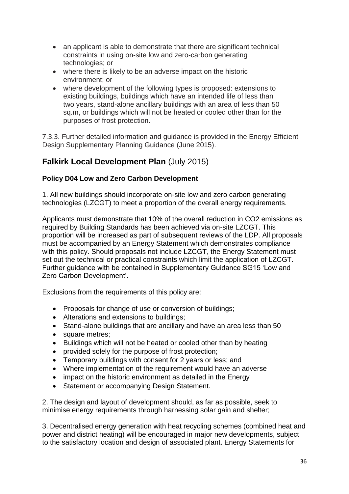- an applicant is able to demonstrate that there are significant technical constraints in using on-site low and zero-carbon generating technologies; or
- where there is likely to be an adverse impact on the historic environment; or
- where development of the following types is proposed: extensions to existing buildings, buildings which have an intended life of less than two years, stand-alone ancillary buildings with an area of less than 50 sq.m, or buildings which will not be heated or cooled other than for the purposes of frost protection.

7.3.3. Further detailed information and guidance is provided in the Energy Efficient Design Supplementary Planning Guidance (June 2015).

# **Falkirk Local Development Plan** (July 2015)

### **Policy D04 Low and Zero Carbon Development**

1. All new buildings should incorporate on-site low and zero carbon generating technologies (LZCGT) to meet a proportion of the overall energy requirements.

Applicants must demonstrate that 10% of the overall reduction in CO2 emissions as required by Building Standards has been achieved via on-site LZCGT. This proportion will be increased as part of subsequent reviews of the LDP. All proposals must be accompanied by an Energy Statement which demonstrates compliance with this policy. Should proposals not include LZCGT, the Energy Statement must set out the technical or practical constraints which limit the application of LZCGT. Further guidance with be contained in Supplementary Guidance SG15 'Low and Zero Carbon Development'.

Exclusions from the requirements of this policy are:

- Proposals for change of use or conversion of buildings;
- Alterations and extensions to buildings;
- Stand-alone buildings that are ancillary and have an area less than 50
- square metres;
- Buildings which will not be heated or cooled other than by heating
- provided solely for the purpose of frost protection;
- Temporary buildings with consent for 2 years or less; and
- Where implementation of the requirement would have an adverse
- impact on the historic environment as detailed in the Energy
- Statement or accompanying Design Statement.

2. The design and layout of development should, as far as possible, seek to minimise energy requirements through harnessing solar gain and shelter;

3. Decentralised energy generation with heat recycling schemes (combined heat and power and district heating) will be encouraged in major new developments, subject to the satisfactory location and design of associated plant. Energy Statements for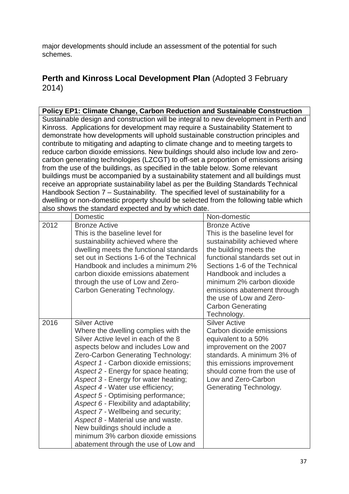major developments should include an assessment of the potential for such schemes.

# **Perth and Kinross Local Development Plan** (Adopted 3 February 2014)

|                                                                                                                                                                                                                                                                                                                                                                                                                                                                                                                                                                                                                                                                                                                                                                                                                                                                                                                                                                                                                             | <b>Policy EP1: Climate Change, Carbon Reduction and Sustainable Construction</b>                                                                                                                                                                                                                                                                                                                                                                                                                                                                                                                                            |                                                                                                                                                                                                                                                                                                                             |  |
|-----------------------------------------------------------------------------------------------------------------------------------------------------------------------------------------------------------------------------------------------------------------------------------------------------------------------------------------------------------------------------------------------------------------------------------------------------------------------------------------------------------------------------------------------------------------------------------------------------------------------------------------------------------------------------------------------------------------------------------------------------------------------------------------------------------------------------------------------------------------------------------------------------------------------------------------------------------------------------------------------------------------------------|-----------------------------------------------------------------------------------------------------------------------------------------------------------------------------------------------------------------------------------------------------------------------------------------------------------------------------------------------------------------------------------------------------------------------------------------------------------------------------------------------------------------------------------------------------------------------------------------------------------------------------|-----------------------------------------------------------------------------------------------------------------------------------------------------------------------------------------------------------------------------------------------------------------------------------------------------------------------------|--|
| Sustainable design and construction will be integral to new development in Perth and<br>Kinross. Applications for development may require a Sustainability Statement to<br>demonstrate how developments will uphold sustainable construction principles and<br>contribute to mitigating and adapting to climate change and to meeting targets to<br>reduce carbon dioxide emissions. New buildings should also include low and zero-<br>carbon generating technologies (LZCGT) to off-set a proportion of emissions arising<br>from the use of the buildings, as specified in the table below. Some relevant<br>buildings must be accompanied by a sustainability statement and all buildings must<br>receive an appropriate sustainability label as per the Building Standards Technical<br>Handbook Section 7 - Sustainability. The specified level of sustainability for a<br>dwelling or non-domestic property should be selected from the following table which<br>also shows the standard expected and by which date. |                                                                                                                                                                                                                                                                                                                                                                                                                                                                                                                                                                                                                             |                                                                                                                                                                                                                                                                                                                             |  |
| 2012                                                                                                                                                                                                                                                                                                                                                                                                                                                                                                                                                                                                                                                                                                                                                                                                                                                                                                                                                                                                                        | Domestic<br><b>Bronze Active</b>                                                                                                                                                                                                                                                                                                                                                                                                                                                                                                                                                                                            | Non-domestic<br><b>Bronze Active</b>                                                                                                                                                                                                                                                                                        |  |
|                                                                                                                                                                                                                                                                                                                                                                                                                                                                                                                                                                                                                                                                                                                                                                                                                                                                                                                                                                                                                             | This is the baseline level for<br>sustainability achieved where the<br>dwelling meets the functional standards<br>set out in Sections 1-6 of the Technical<br>Handbook and includes a minimum 2%<br>carbon dioxide emissions abatement<br>through the use of Low and Zero-<br>Carbon Generating Technology.                                                                                                                                                                                                                                                                                                                 | This is the baseline level for<br>sustainability achieved where<br>the building meets the<br>functional standards set out in<br>Sections 1-6 of the Technical<br>Handbook and includes a<br>minimum 2% carbon dioxide<br>emissions abatement through<br>the use of Low and Zero-<br><b>Carbon Generating</b><br>Technology. |  |
| 2016                                                                                                                                                                                                                                                                                                                                                                                                                                                                                                                                                                                                                                                                                                                                                                                                                                                                                                                                                                                                                        | <b>Silver Active</b><br>Where the dwelling complies with the<br>Silver Active level in each of the 8<br>aspects below and includes Low and<br>Zero-Carbon Generating Technology:<br>Aspect 1 - Carbon dioxide emissions;<br>Aspect 2 - Energy for space heating;<br>Aspect 3 - Energy for water heating;<br>Aspect 4 - Water use efficiency;<br>Aspect 5 - Optimising performance;<br>Aspect 6 - Flexibility and adaptability;<br>Aspect 7 - Wellbeing and security;<br>Aspect 8 - Material use and waste.<br>New buildings should include a<br>minimum 3% carbon dioxide emissions<br>abatement through the use of Low and | <b>Silver Active</b><br>Carbon dioxide emissions<br>equivalent to a 50%<br>improvement on the 2007<br>standards. A minimum 3% of<br>this emissions improvement<br>should come from the use of<br>Low and Zero-Carbon<br>Generating Technology.                                                                              |  |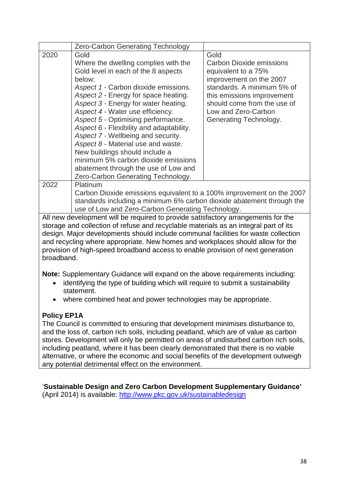|      | <b>Zero-Carbon Generating Technology</b>                                                                                                                                                                                                                                                                                                              |                                                                                                                                                                                      |
|------|-------------------------------------------------------------------------------------------------------------------------------------------------------------------------------------------------------------------------------------------------------------------------------------------------------------------------------------------------------|--------------------------------------------------------------------------------------------------------------------------------------------------------------------------------------|
| 2020 | Gold<br>Where the dwelling complies with the<br>Gold level in each of the 8 aspects<br>below:<br>Aspect 1 - Carbon dioxide emissions.<br>Aspect 2 - Energy for space heating.<br>Aspect 3 - Energy for water heating.                                                                                                                                 | Gold<br><b>Carbon Dioxide emissions</b><br>equivalent to a 75%<br>improvement on the 2007<br>standards. A minimum 5% of<br>this emissions improvement<br>should come from the use of |
|      | Aspect 4 - Water use efficiency.<br>Aspect 5 - Optimising performance.<br>Aspect 6 - Flexibility and adaptability.<br>Aspect 7 - Wellbeing and security.<br>Aspect 8 - Material use and waste.<br>New buildings should include a<br>minimum 5% carbon dioxide emissions<br>abatement through the use of Low and<br>Zero-Carbon Generating Technology. | Low and Zero-Carbon<br>Generating Technology.                                                                                                                                        |
| 2022 | Platinum<br>Carbon Dioxide emissions equivalent to a 100% improvement on the 2007<br>standards including a minimum 6% carbon dioxide abatement through the<br>use of Low and Zero-Carbon Generating Technology.                                                                                                                                       |                                                                                                                                                                                      |

All new development will be required to provide satisfactory arrangements for the storage and collection of refuse and recyclable materials as an integral part of its design. Major developments should include communal facilities for waste collection and recycling where appropriate. New homes and workplaces should allow for the provision of high-speed broadband access to enable provision of next generation broadband.

**Note:** Supplementary Guidance will expand on the above requirements including:

- identifying the type of building which will require to submit a sustainability statement.
- where combined heat and power technologies may be appropriate.

## **Policy EP1A**

The Council is committed to ensuring that development minimises disturbance to, and the loss of, carbon rich soils, including peatland, which are of value as carbon stores. Development will only be permitted on areas of undisturbed carbon rich soils, including peatland, where it has been clearly demonstrated that there is no viable alternative, or where the economic and social benefits of the development outweigh any potential detrimental effect on the environment.

## '**Sustainable Design and Zero Carbon Development Supplementary Guidance'**

(April 2014) is available:<http://www.pkc.gov.uk/sustainabledesign>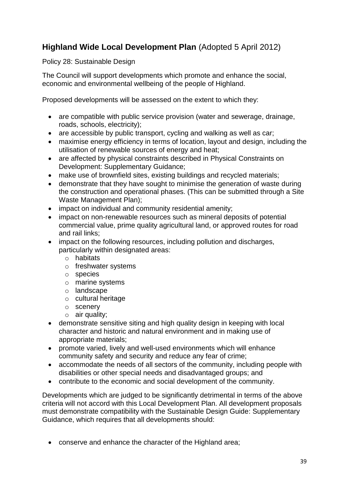# **Highland Wide Local Development Plan** (Adopted 5 April 2012)

#### Policy 28: Sustainable Design

The Council will support developments which promote and enhance the social, economic and environmental wellbeing of the people of Highland.

Proposed developments will be assessed on the extent to which they:

- are compatible with public service provision (water and sewerage, drainage, roads, schools, electricity);
- are accessible by public transport, cycling and walking as well as car;
- maximise energy efficiency in terms of location, layout and design, including the utilisation of renewable sources of energy and heat;
- are affected by physical constraints described in Physical Constraints on Development: Supplementary Guidance;
- make use of brownfield sites, existing buildings and recycled materials;
- demonstrate that they have sought to minimise the generation of waste during the construction and operational phases. (This can be submitted through a Site Waste Management Plan);
- impact on individual and community residential amenity;
- impact on non-renewable resources such as mineral deposits of potential commercial value, prime quality agricultural land, or approved routes for road and rail links;
- impact on the following resources, including pollution and discharges, particularly within designated areas:
	- o habitats
	- o freshwater systems
	- o species
	- o marine systems
	- o landscape
	- o cultural heritage
	- o scenery
	- o air quality;
- demonstrate sensitive siting and high quality design in keeping with local character and historic and natural environment and in making use of appropriate materials;
- promote varied, lively and well-used environments which will enhance community safety and security and reduce any fear of crime;
- accommodate the needs of all sectors of the community, including people with disabilities or other special needs and disadvantaged groups; and
- contribute to the economic and social development of the community.

Developments which are judged to be significantly detrimental in terms of the above criteria will not accord with this Local Development Plan. All development proposals must demonstrate compatibility with the Sustainable Design Guide: Supplementary Guidance, which requires that all developments should:

conserve and enhance the character of the Highland area;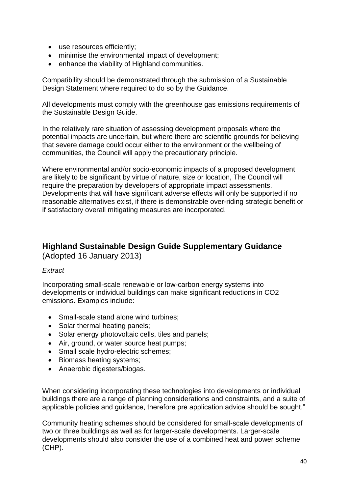- use resources efficiently;
- minimise the environmental impact of development;
- enhance the viability of Highland communities.

Compatibility should be demonstrated through the submission of a Sustainable Design Statement where required to do so by the Guidance.

All developments must comply with the greenhouse gas emissions requirements of the Sustainable Design Guide.

In the relatively rare situation of assessing development proposals where the potential impacts are uncertain, but where there are scientific grounds for believing that severe damage could occur either to the environment or the wellbeing of communities, the Council will apply the precautionary principle.

Where environmental and/or socio-economic impacts of a proposed development are likely to be significant by virtue of nature, size or location, The Council will require the preparation by developers of appropriate impact assessments. Developments that will have significant adverse effects will only be supported if no reasonable alternatives exist, if there is demonstrable over-riding strategic benefit or if satisfactory overall mitigating measures are incorporated.

## **Highland Sustainable Design Guide Supplementary Guidance** (Adopted 16 January 2013)

### *Extract*

Incorporating small-scale renewable or low-carbon energy systems into developments or individual buildings can make significant reductions in CO2 emissions. Examples include:

- Small-scale stand alone wind turbines;
- Solar thermal heating panels;
- Solar energy photovoltaic cells, tiles and panels;
- Air, ground, or water source heat pumps;
- Small scale hydro-electric schemes;
- Biomass heating systems;
- Anaerobic digesters/biogas.

When considering incorporating these technologies into developments or individual buildings there are a range of planning considerations and constraints, and a suite of applicable policies and guidance, therefore pre application advice should be sought."

Community heating schemes should be considered for small-scale developments of two or three buildings as well as for larger-scale developments. Larger-scale developments should also consider the use of a combined heat and power scheme (CHP).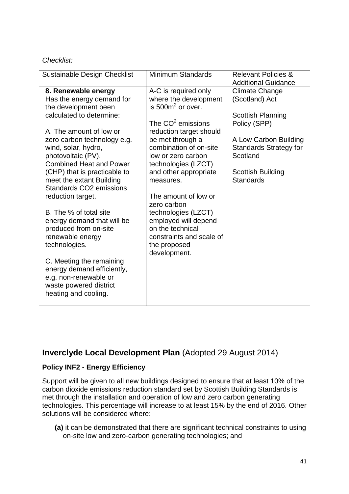#### *Checklist:*

| <b>Sustainable Design Checklist</b>                                                                                                                                                                                                                                                                                                                                                             | <b>Minimum Standards</b>                                                                                                                                                                                                                                                                        | <b>Relevant Policies &amp;</b><br><b>Additional Guidance</b>                                                                                                                                              |
|-------------------------------------------------------------------------------------------------------------------------------------------------------------------------------------------------------------------------------------------------------------------------------------------------------------------------------------------------------------------------------------------------|-------------------------------------------------------------------------------------------------------------------------------------------------------------------------------------------------------------------------------------------------------------------------------------------------|-----------------------------------------------------------------------------------------------------------------------------------------------------------------------------------------------------------|
| 8. Renewable energy<br>Has the energy demand for<br>the development been<br>calculated to determine:<br>A. The amount of low or<br>zero carbon technology e.g.<br>wind, solar, hydro,<br>photovoltaic (PV),<br><b>Combined Heat and Power</b><br>(CHP) that is practicable to<br>meet the extant Building<br>Standards CO <sub>2</sub> emissions<br>reduction target.<br>B. The % of total site | A-C is required only<br>where the development<br>is $500m^2$ or over.<br>The $CO2$ emissions<br>reduction target should<br>be met through a<br>combination of on-site<br>low or zero carbon<br>technologies (LZCT)<br>and other appropriate<br>measures.<br>The amount of low or<br>zero carbon | <b>Climate Change</b><br>(Scotland) Act<br><b>Scottish Planning</b><br>Policy (SPP)<br>A Low Carbon Building<br><b>Standards Strategy for</b><br>Scotland<br><b>Scottish Building</b><br><b>Standards</b> |
| energy demand that will be<br>produced from on-site<br>renewable energy<br>technologies.<br>C. Meeting the remaining<br>energy demand efficiently,<br>e.g. non-renewable or<br>waste powered district<br>heating and cooling.                                                                                                                                                                   | technologies (LZCT)<br>employed will depend<br>on the technical<br>constraints and scale of<br>the proposed<br>development.                                                                                                                                                                     |                                                                                                                                                                                                           |

## **Inverclyde Local Development Plan** (Adopted 29 August 2014)

### **Policy INF2 - Energy Efficiency**

Support will be given to all new buildings designed to ensure that at least 10% of the carbon dioxide emissions reduction standard set by Scottish Building Standards is met through the installation and operation of low and zero carbon generating technologies. This percentage will increase to at least 15% by the end of 2016. Other solutions will be considered where:

**(a)** it can be demonstrated that there are significant technical constraints to using on-site low and zero-carbon generating technologies; and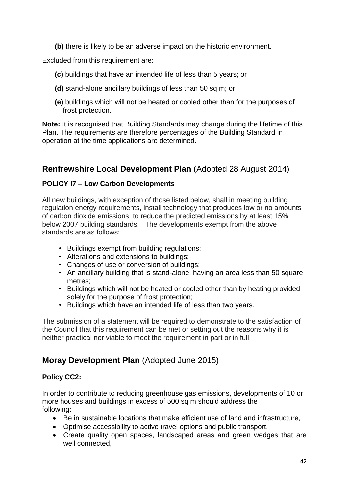**(b)** there is likely to be an adverse impact on the historic environment.

Excluded from this requirement are:

- **(c)** buildings that have an intended life of less than 5 years; or
- **(d)** stand-alone ancillary buildings of less than 50 sq m; or
- **(e)** buildings which will not be heated or cooled other than for the purposes of frost protection.

**Note:** It is recognised that Building Standards may change during the lifetime of this Plan. The requirements are therefore percentages of the Building Standard in operation at the time applications are determined.

## **Renfrewshire Local Development Plan** (Adopted 28 August 2014)

### **POLICY I7 – Low Carbon Developments**

All new buildings, with exception of those listed below, shall in meeting building regulation energy requirements, install technology that produces low or no amounts of carbon dioxide emissions, to reduce the predicted emissions by at least 15% below 2007 building standards. The developments exempt from the above standards are as follows:

- Buildings exempt from building regulations;
- Alterations and extensions to buildings;
- Changes of use or conversion of buildings;
- An ancillary building that is stand-alone, having an area less than 50 square metres;
- Buildings which will not be heated or cooled other than by heating provided solely for the purpose of frost protection;
- Buildings which have an intended life of less than two years.

The submission of a statement will be required to demonstrate to the satisfaction of the Council that this requirement can be met or setting out the reasons why it is neither practical nor viable to meet the requirement in part or in full.

# **Moray Development Plan** (Adopted June 2015)

### **Policy CC2:**

In order to contribute to reducing greenhouse gas emissions, developments of 10 or more houses and buildings in excess of 500 sq m should address the following:

- Be in sustainable locations that make efficient use of land and infrastructure,
- Optimise accessibility to active travel options and public transport,
- Create quality open spaces, landscaped areas and green wedges that are well connected,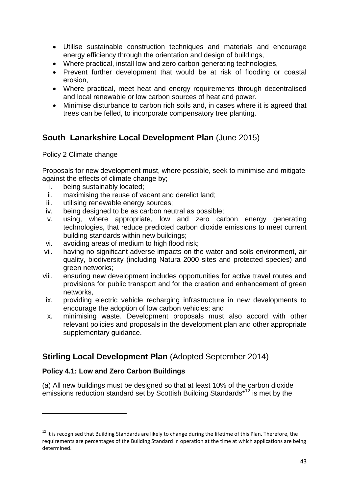- Utilise sustainable construction techniques and materials and encourage energy efficiency through the orientation and design of buildings,
- Where practical, install low and zero carbon generating technologies,
- Prevent further development that would be at risk of flooding or coastal erosion,
- Where practical, meet heat and energy requirements through decentralised and local renewable or low carbon sources of heat and power.
- Minimise disturbance to carbon rich soils and, in cases where it is agreed that trees can be felled, to incorporate compensatory tree planting.

# **South Lanarkshire Local Development Plan** (June 2015)

Policy 2 Climate change

Proposals for new development must, where possible, seek to minimise and mitigate against the effects of climate change by;

- i. being sustainably located;
- ii. maximising the reuse of vacant and derelict land;
- iii. utilising renewable energy sources;
- iv. being designed to be as carbon neutral as possible;
- v. using, where appropriate, low and zero carbon energy generating technologies, that reduce predicted carbon dioxide emissions to meet current building standards within new buildings;
- vi. avoiding areas of medium to high flood risk;
- vii. having no significant adverse impacts on the water and soils environment, air quality, biodiversity (including Natura 2000 sites and protected species) and green networks;
- viii. ensuring new development includes opportunities for active travel routes and provisions for public transport and for the creation and enhancement of green networks,
- ix. providing electric vehicle recharging infrastructure in new developments to encourage the adoption of low carbon vehicles; and
- x. minimising waste. Development proposals must also accord with other relevant policies and proposals in the development plan and other appropriate supplementary guidance.

## **Stirling Local Development Plan** (Adopted September 2014)

### **Policy 4.1: Low and Zero Carbon Buildings**

1

(a) All new buildings must be designed so that at least 10% of the carbon dioxide emissions reduction standard set by Scottish Building Standards\*<sup>12</sup> is met by the

 $12$  It is recognised that Building Standards are likely to change during the lifetime of this Plan. Therefore, the requirements are percentages of the Building Standard in operation at the time at which applications are being determined.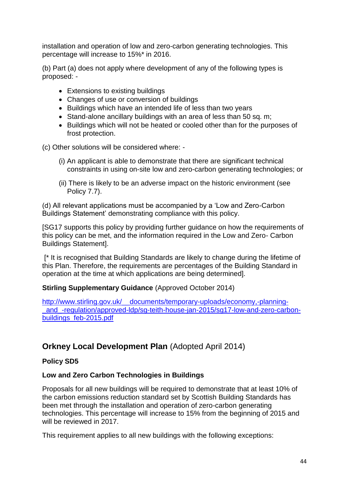installation and operation of low and zero-carbon generating technologies. This percentage will increase to 15%\* in 2016.

(b) Part (a) does not apply where development of any of the following types is proposed: -

- Extensions to existing buildings
- Changes of use or conversion of buildings
- Buildings which have an intended life of less than two years
- Stand-alone ancillary buildings with an area of less than 50 sq. m;
- Buildings which will not be heated or cooled other than for the purposes of frost protection.

(c) Other solutions will be considered where: -

- (i) An applicant is able to demonstrate that there are significant technical constraints in using on-site low and zero-carbon generating technologies; or
- (ii) There is likely to be an adverse impact on the historic environment (see Policy 7.7).

(d) All relevant applications must be accompanied by a 'Low and Zero-Carbon Buildings Statement' demonstrating compliance with this policy.

[SG17 supports this policy by providing further guidance on how the requirements of this policy can be met, and the information required in the Low and Zero- Carbon Buildings Statement].

[\* It is recognised that Building Standards are likely to change during the lifetime of this Plan. Therefore, the requirements are percentages of the Building Standard in operation at the time at which applications are being determined].

#### **Stirling Supplementary Guidance** (Approved October 2014)

[http://www.stirling.gov.uk/\\_\\_documents/temporary-uploads/economy,-planning](http://www.stirling.gov.uk/__documents/temporary-uploads/economy,-planning-_and_-regulation/approved-ldp/sg-teith-house-jan-2015/sg17-low-and-zero-carbon-buildings_feb-2015.pdf) and -regulation/approved-ldp/sg-teith-house-jan-2015/sg17-low-and-zero-carbon[buildings\\_feb-2015.pdf](http://www.stirling.gov.uk/__documents/temporary-uploads/economy,-planning-_and_-regulation/approved-ldp/sg-teith-house-jan-2015/sg17-low-and-zero-carbon-buildings_feb-2015.pdf)

## **Orkney Local Development Plan** (Adopted April 2014)

### **Policy SD5**

#### **Low and Zero Carbon Technologies in Buildings**

Proposals for all new buildings will be required to demonstrate that at least 10% of the carbon emissions reduction standard set by Scottish Building Standards has been met through the installation and operation of zero-carbon generating technologies. This percentage will increase to 15% from the beginning of 2015 and will be reviewed in 2017.

This requirement applies to all new buildings with the following exceptions: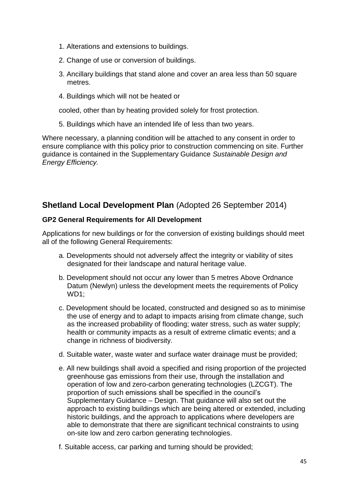- 1. Alterations and extensions to buildings.
- 2. Change of use or conversion of buildings.
- 3. Ancillary buildings that stand alone and cover an area less than 50 square metres.
- 4. Buildings which will not be heated or

cooled, other than by heating provided solely for frost protection.

5. Buildings which have an intended life of less than two years.

Where necessary, a planning condition will be attached to any consent in order to ensure compliance with this policy prior to construction commencing on site. Further guidance is contained in the Supplementary Guidance *Sustainable Design and Energy Efficiency.*

## **Shetland Local Development Plan** (Adopted 26 September 2014)

### **GP2 General Requirements for All Development**

Applications for new buildings or for the conversion of existing buildings should meet all of the following General Requirements:

- a. Developments should not adversely affect the integrity or viability of sites designated for their landscape and natural heritage value.
- b. Development should not occur any lower than 5 metres Above Ordnance Datum (Newlyn) unless the development meets the requirements of Policy WD<sub>1</sub>:
- c. Development should be located, constructed and designed so as to minimise the use of energy and to adapt to impacts arising from climate change, such as the increased probability of flooding; water stress, such as water supply; health or community impacts as a result of extreme climatic events; and a change in richness of biodiversity.
- d. Suitable water, waste water and surface water drainage must be provided;
- e. All new buildings shall avoid a specified and rising proportion of the projected greenhouse gas emissions from their use, through the installation and operation of low and zero-carbon generating technologies (LZCGT). The proportion of such emissions shall be specified in the council's Supplementary Guidance – Design. That guidance will also set out the approach to existing buildings which are being altered or extended, including historic buildings, and the approach to applications where developers are able to demonstrate that there are significant technical constraints to using on-site low and zero carbon generating technologies.
- f. Suitable access, car parking and turning should be provided;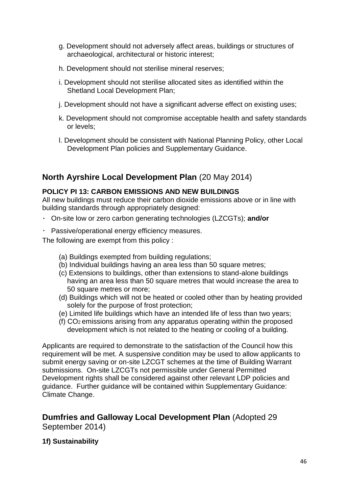- g. Development should not adversely affect areas, buildings or structures of archaeological, architectural or historic interest;
- h. Development should not sterilise mineral reserves;
- i. Development should not sterilise allocated sites as identified within the Shetland Local Development Plan;
- j. Development should not have a significant adverse effect on existing uses;
- k. Development should not compromise acceptable health and safety standards or levels;
- l. Development should be consistent with National Planning Policy, other Local Development Plan policies and Supplementary Guidance.

## **North Ayrshire Local Development Plan** (20 May 2014)

#### **POLICY PI 13: CARBON EMISSIONS AND NEW BUILDINGS**

All new buildings must reduce their carbon dioxide emissions above or in line with building standards through appropriately designed:

- On-site low or zero carbon generating technologies (LZCGTs); **and/or**
- Passive/operational energy efficiency measures.

The following are exempt from this policy :

- (a) Buildings exempted from building regulations;
- (b) Individual buildings having an area less than 50 square metres;
- (c) Extensions to buildings, other than extensions to stand-alone buildings having an area less than 50 square metres that would increase the area to 50 square metres or more;
- (d) Buildings which will not be heated or cooled other than by heating provided solely for the purpose of frost protection;
- (e) Limited life buildings which have an intended life of less than two years;
- (f) CO2 emissions arising from any apparatus operating within the proposed development which is not related to the heating or cooling of a building.

Applicants are required to demonstrate to the satisfaction of the Council how this requirement will be met. A suspensive condition may be used to allow applicants to submit energy saving or on-site LZCGT schemes at the time of Building Warrant submissions. On-site LZCGTs not permissible under General Permitted Development rights shall be considered against other relevant LDP policies and guidance. Further guidance will be contained within Supplementary Guidance: Climate Change.

**Dumfries and Galloway Local Development Plan** (Adopted 29 September 2014)

#### **1f) Sustainability**